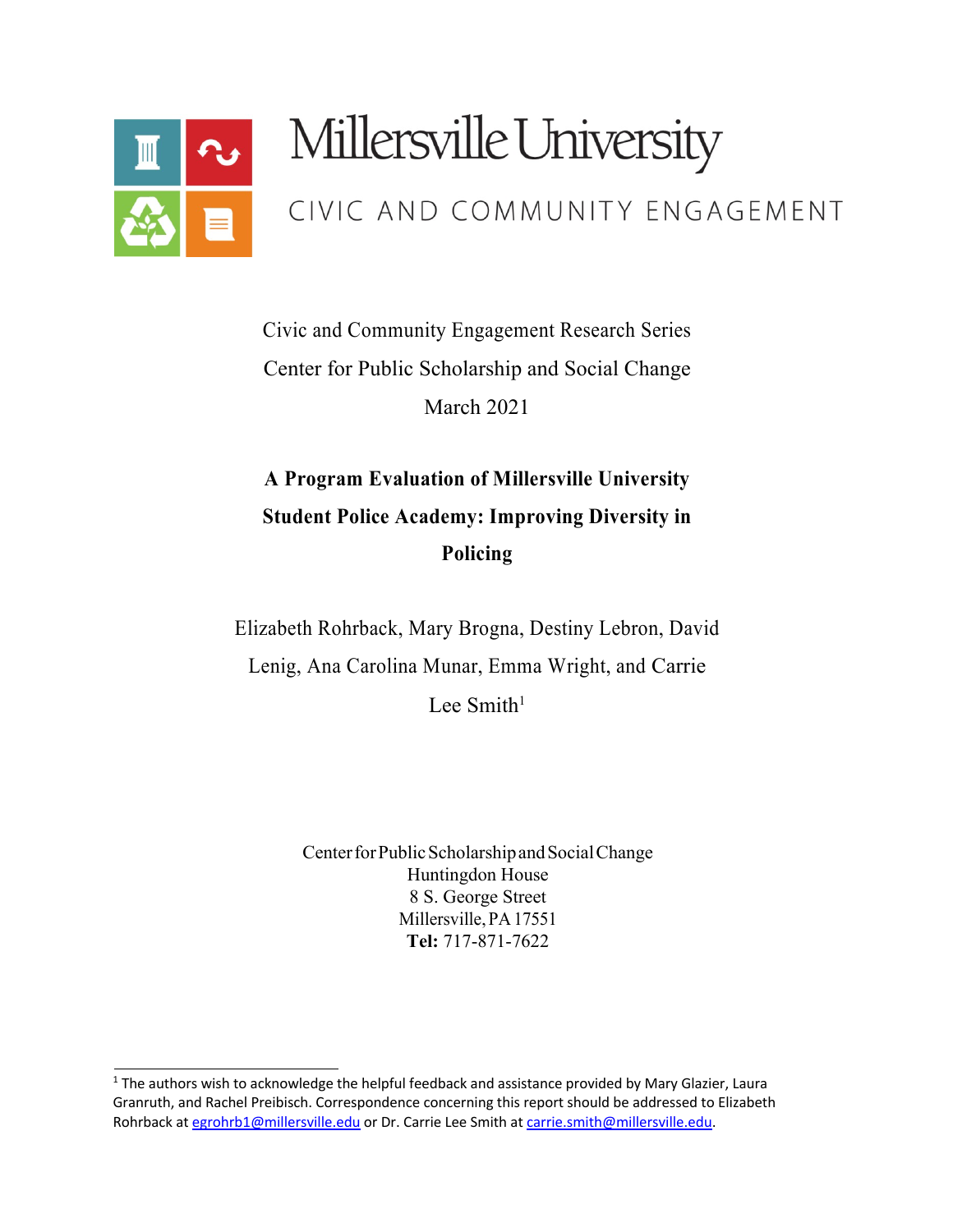

# Millersville University

# CIVIC AND COMMUNITY ENGAGEMENT

Civic and Community Engagement Research Series Center for Public Scholarship and Social Change March 2021

# **A Program Evaluation of Millersville University Student Police Academy: Improving Diversity in Policing**

Elizabeth Rohrback, Mary Brogna, Destiny Lebron, David Lenig, Ana Carolina Munar, Emma Wright, and Carrie Lee Smith<sup>1</sup>

> Center for Public Scholarship and Social Change Huntingdon House 8 S. George Street Millersville,PA17551 **Tel:** 717-871-7622

 $1$  The authors wish to acknowledge the helpful feedback and assistance provided by Mary Glazier, Laura Granruth, and Rachel Preibisch. Correspondence concerning this report should be addressed to Elizabeth Rohrback at egrohrb1@millersville.edu or Dr. Carrie Lee Smith at carrie.smith@millersville.edu.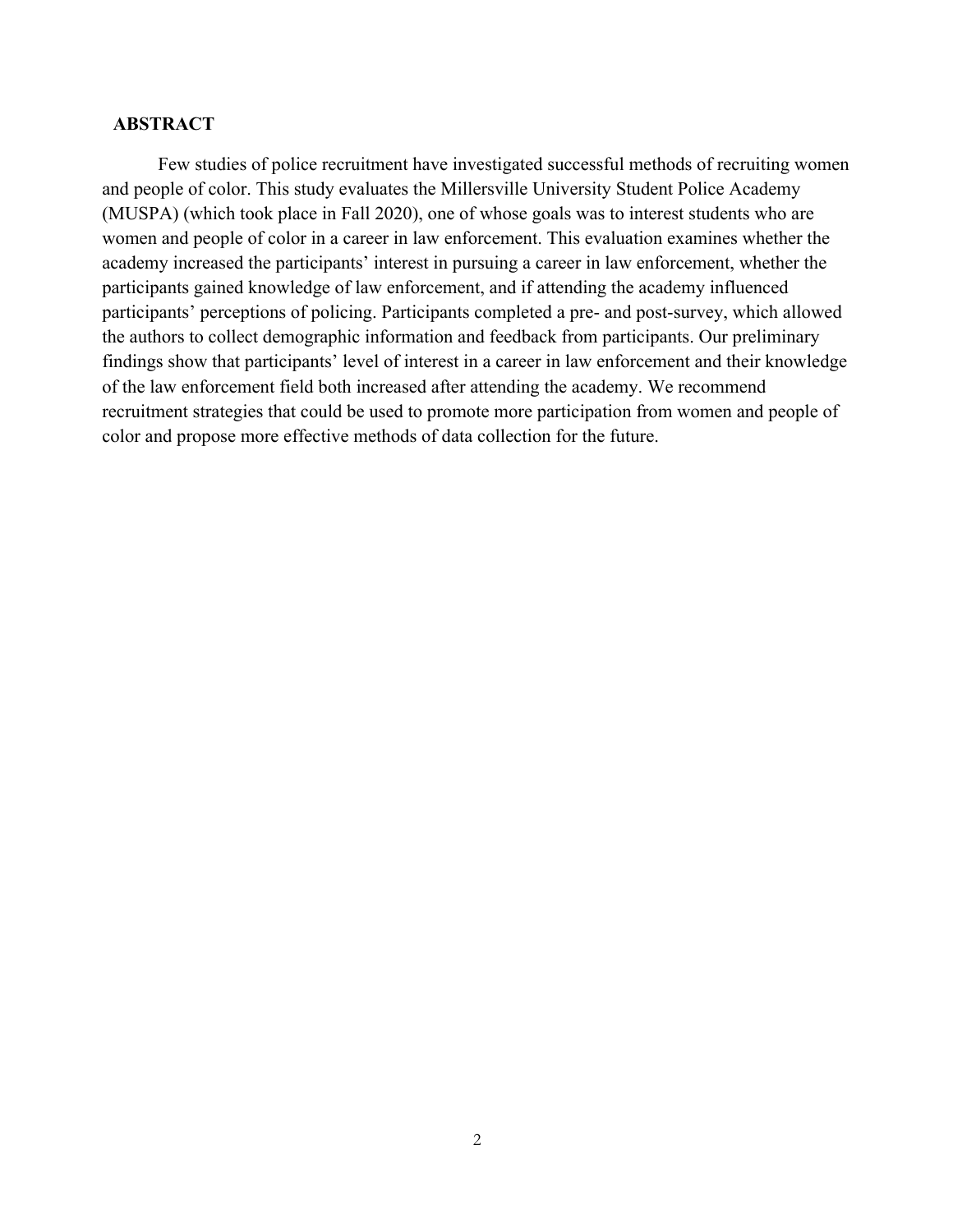## **ABSTRACT**

Few studies of police recruitment have investigated successful methods of recruiting women and people of color. This study evaluates the Millersville University Student Police Academy (MUSPA) (which took place in Fall 2020), one of whose goals was to interest students who are women and people of color in a career in law enforcement. This evaluation examines whether the academy increased the participants' interest in pursuing a career in law enforcement, whether the participants gained knowledge of law enforcement, and if attending the academy influenced participants' perceptions of policing. Participants completed a pre- and post-survey, which allowed the authors to collect demographic information and feedback from participants. Our preliminary findings show that participants' level of interest in a career in law enforcement and their knowledge of the law enforcement field both increased after attending the academy. We recommend recruitment strategies that could be used to promote more participation from women and people of color and propose more effective methods of data collection for the future.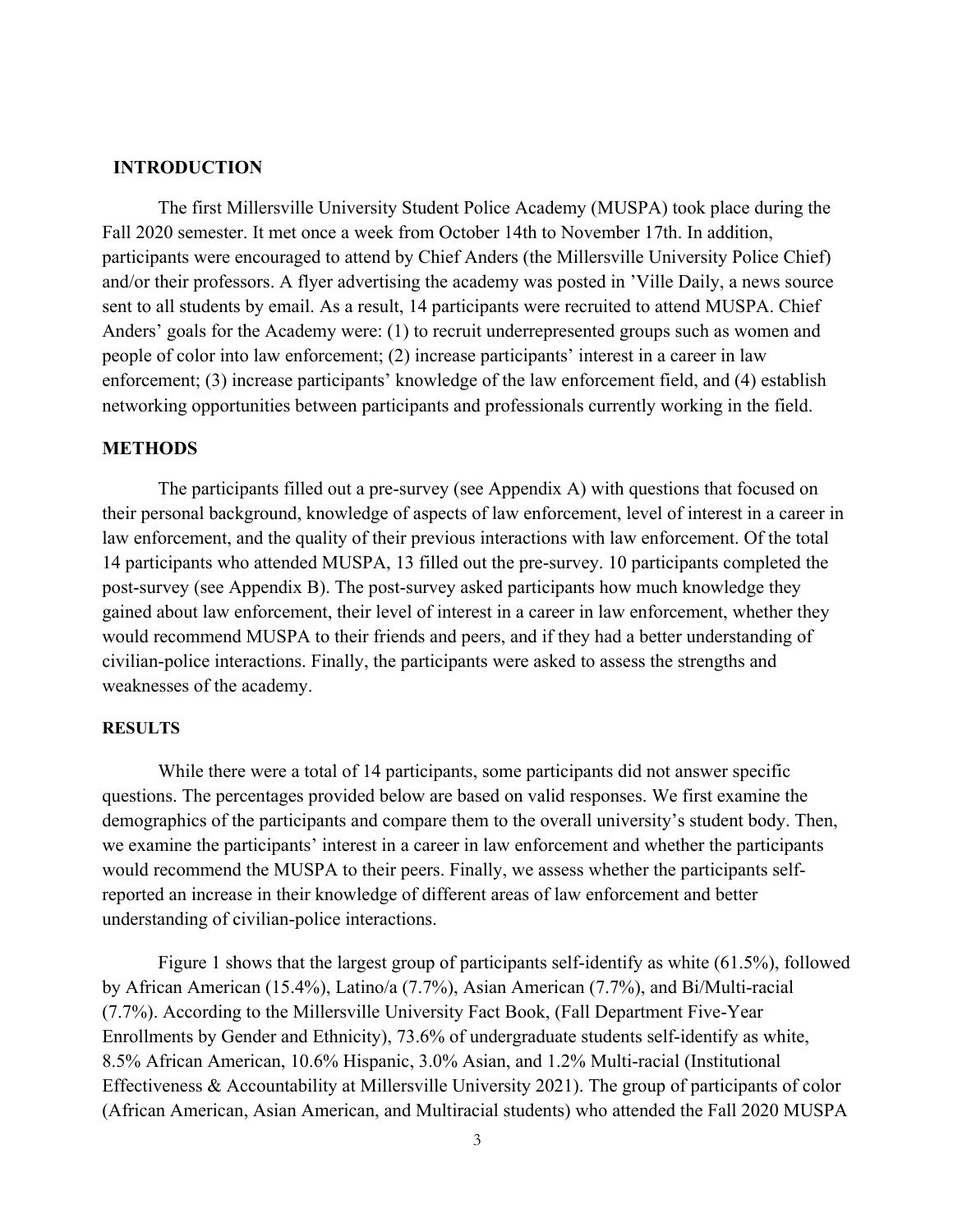#### **INTRODUCTION**

The first Millersville University Student Police Academy (MUSPA) took place during the Fall 2020 semester. It met once a week from October 14th to November 17th. In addition, participants were encouraged to attend by Chief Anders (the Millersville University Police Chief) and/or their professors. A flyer advertising the academy was posted in 'Ville Daily, a news source sent to all students by email. As a result, 14 participants were recruited to attend MUSPA. Chief Anders' goals for the Academy were: (1) to recruit underrepresented groups such as women and people of color into law enforcement; (2) increase participants' interest in a career in law enforcement; (3) increase participants' knowledge of the law enforcement field, and (4) establish networking opportunities between participants and professionals currently working in the field.

#### **METHODS**

The participants filled out a pre-survey (see Appendix A) with questions that focused on their personal background, knowledge of aspects of law enforcement, level of interest in a career in law enforcement, and the quality of their previous interactions with law enforcement. Of the total 14 participants who attended MUSPA, 13 filled out the pre-survey. 10 participants completed the post-survey (see Appendix B). The post-survey asked participants how much knowledge they gained about law enforcement, their level of interest in a career in law enforcement, whether they would recommend MUSPA to their friends and peers, and if they had a better understanding of civilian-police interactions. Finally, the participants were asked to assess the strengths and weaknesses of the academy.

### **RESULTS**

While there were a total of 14 participants, some participants did not answer specific questions. The percentages provided below are based on valid responses. We first examine the demographics of the participants and compare them to the overall university's student body. Then, we examine the participants' interest in a career in law enforcement and whether the participants would recommend the MUSPA to their peers. Finally, we assess whether the participants selfreported an increase in their knowledge of different areas of law enforcement and better understanding of civilian-police interactions.

Figure 1 shows that the largest group of participants self-identify as white (61.5%), followed by African American (15.4%), Latino/a (7.7%), Asian American (7.7%), and Bi/Multi-racial (7.7%). According to the Millersville University Fact Book, (Fall Department Five-Year Enrollments by Gender and Ethnicity), 73.6% of undergraduate students self-identify as white, 8.5% African American, 10.6% Hispanic, 3.0% Asian, and 1.2% Multi-racial (Institutional Effectiveness & Accountability at Millersville University 2021). The group of participants of color (African American, Asian American, and Multiracial students) who attended the Fall 2020 MUSPA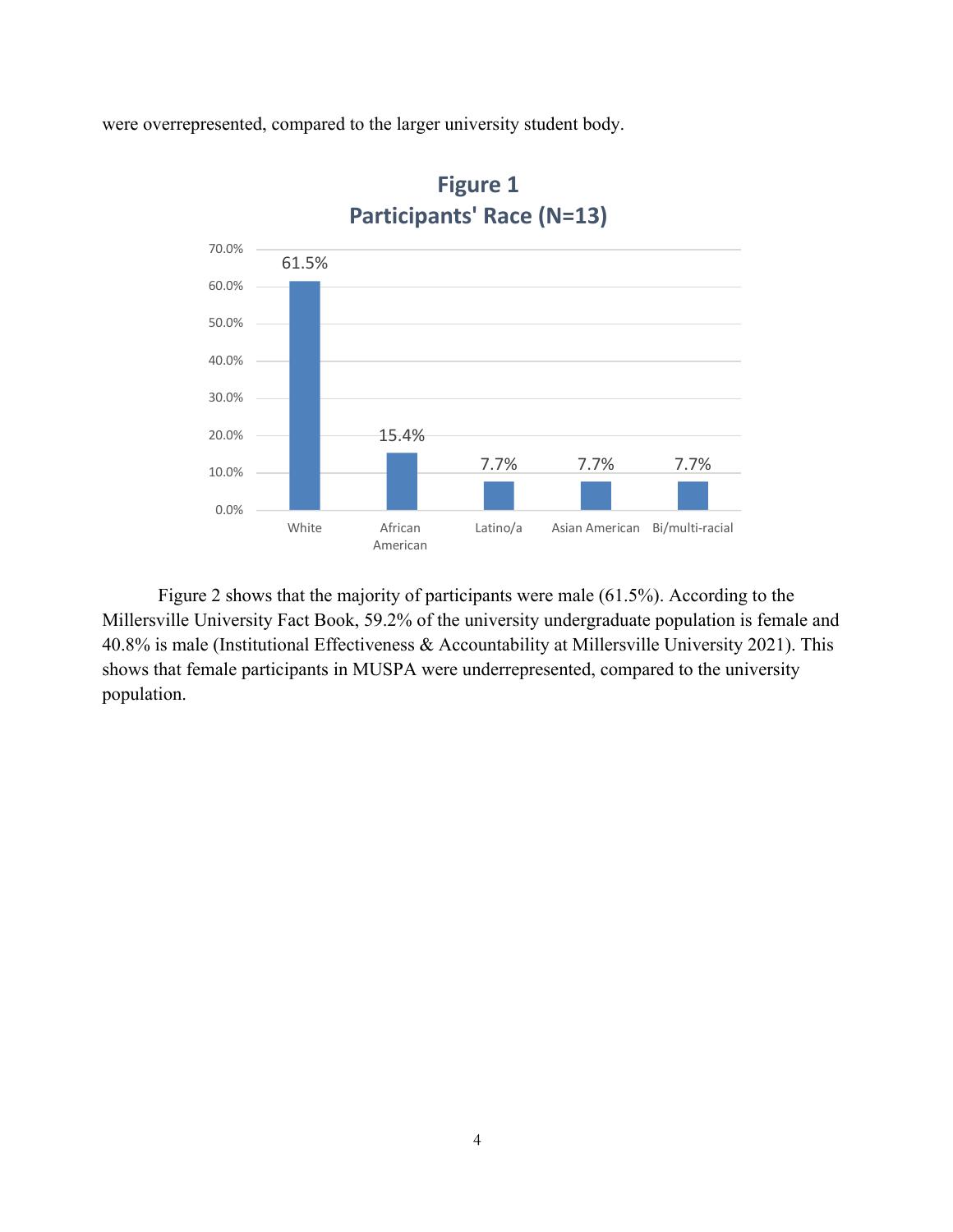were overrepresented, compared to the larger university student body.



**Figure 1 Participants' Race (N=13)**

Figure 2 shows that the majority of participants were male (61.5%). According to the Millersville University Fact Book, 59.2% of the university undergraduate population is female and 40.8% is male (Institutional Effectiveness & Accountability at Millersville University 2021). This shows that female participants in MUSPA were underrepresented, compared to the university population.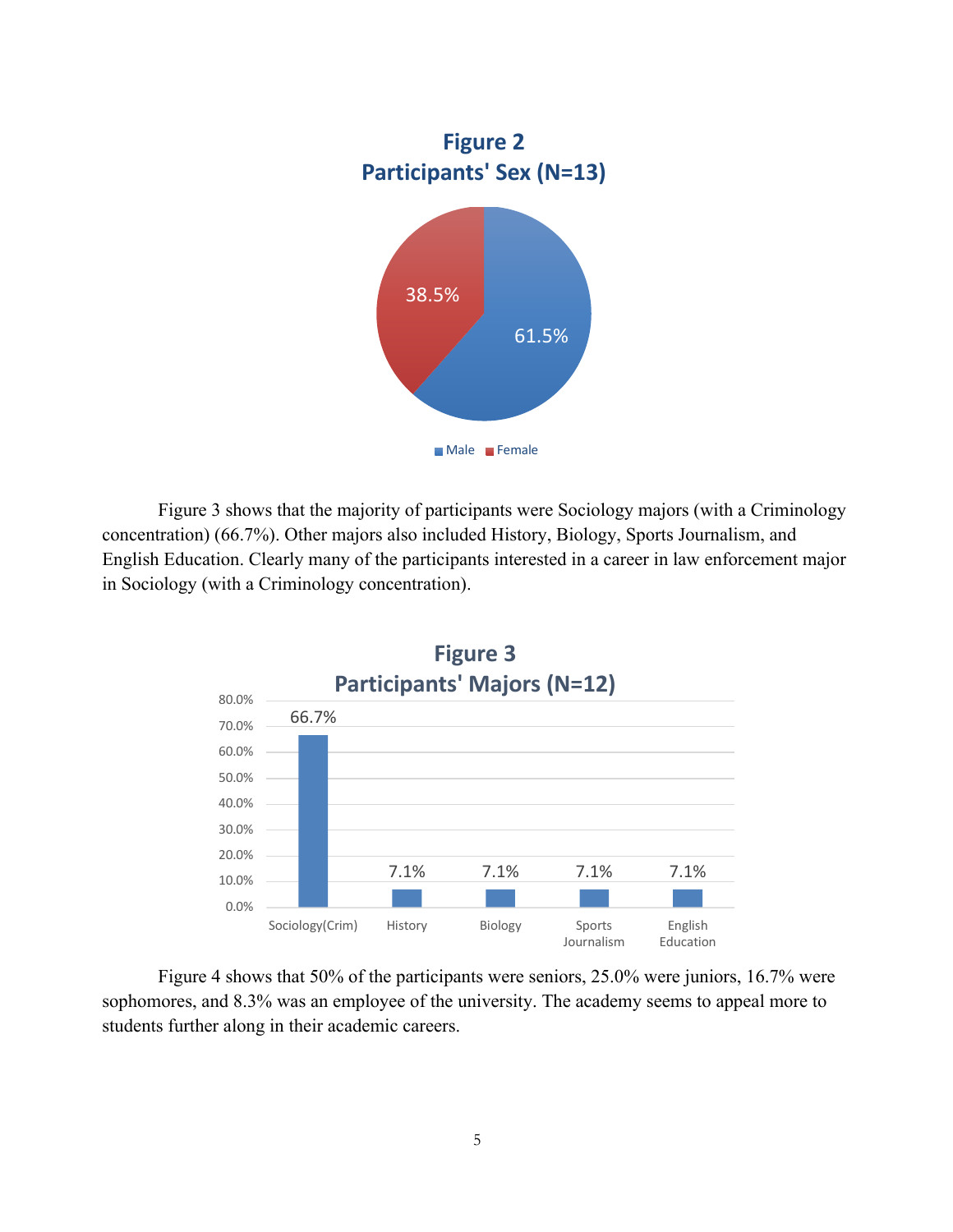

Figure 3 shows that the majority of participants were Sociology majors (with a Criminology concentration) (66.7%). Other majors also included History, Biology, Sports Journalism, and English Education. Clearly many of the participants interested in a career in law enforcement major in Sociology (with a Criminology concentration).



Figure 4 shows that 50% of the participants were seniors, 25.0% were juniors, 16.7% were sophomores, and 8.3% was an employee of the university. The academy seems to appeal more to students further along in their academic careers.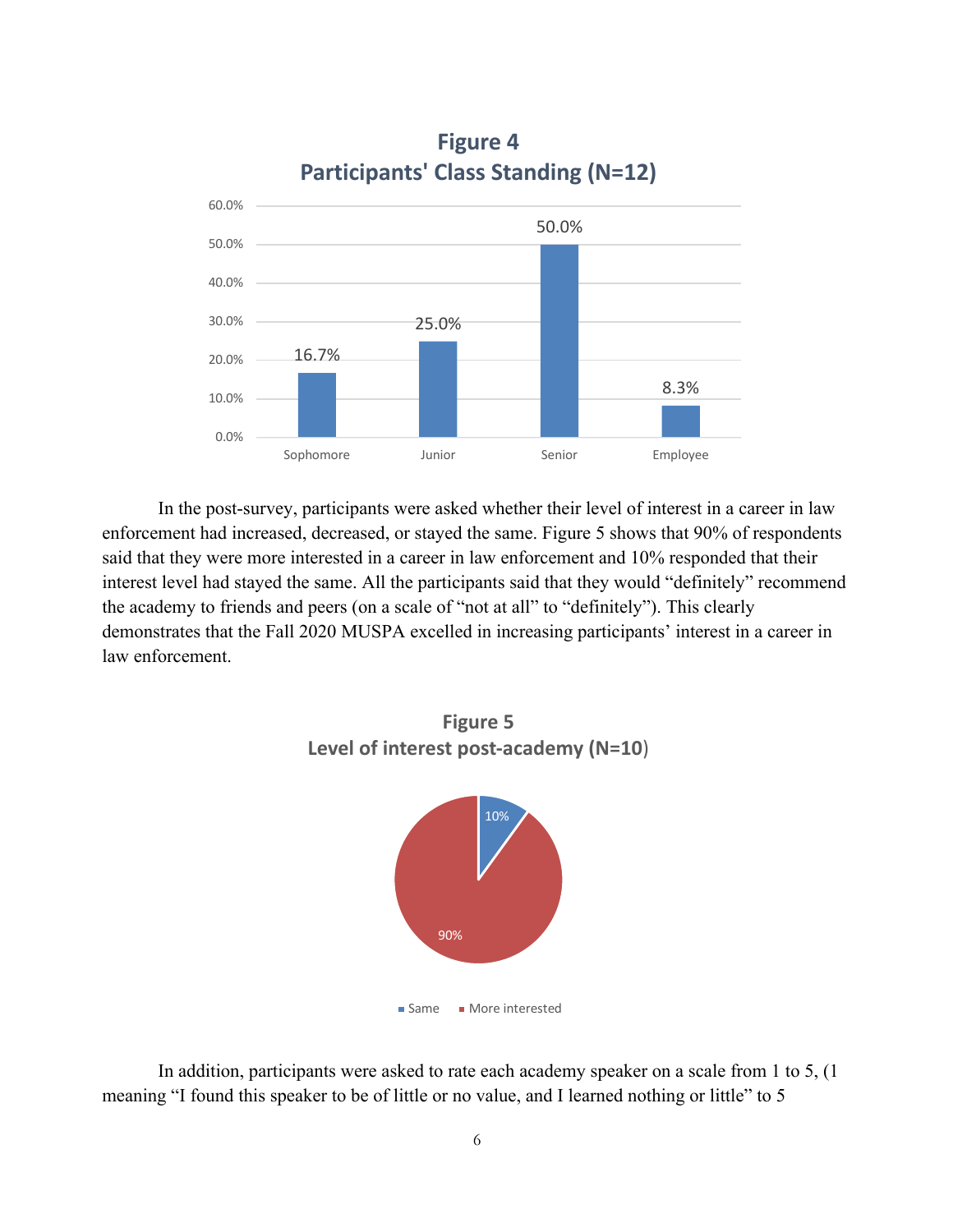

**Figure 4 Participants' Class Standing (N=12)**

In the post-survey, participants were asked whether their level of interest in a career in law enforcement had increased, decreased, or stayed the same. Figure 5 shows that 90% of respondents said that they were more interested in a career in law enforcement and 10% responded that their interest level had stayed the same. All the participants said that they would "definitely" recommend the academy to friends and peers (on a scale of "not at all" to "definitely"). This clearly demonstrates that the Fall 2020 MUSPA excelled in increasing participants' interest in a career in law enforcement.



In addition, participants were asked to rate each academy speaker on a scale from 1 to 5, (1 meaning "I found this speaker to be of little or no value, and I learned nothing or little" to 5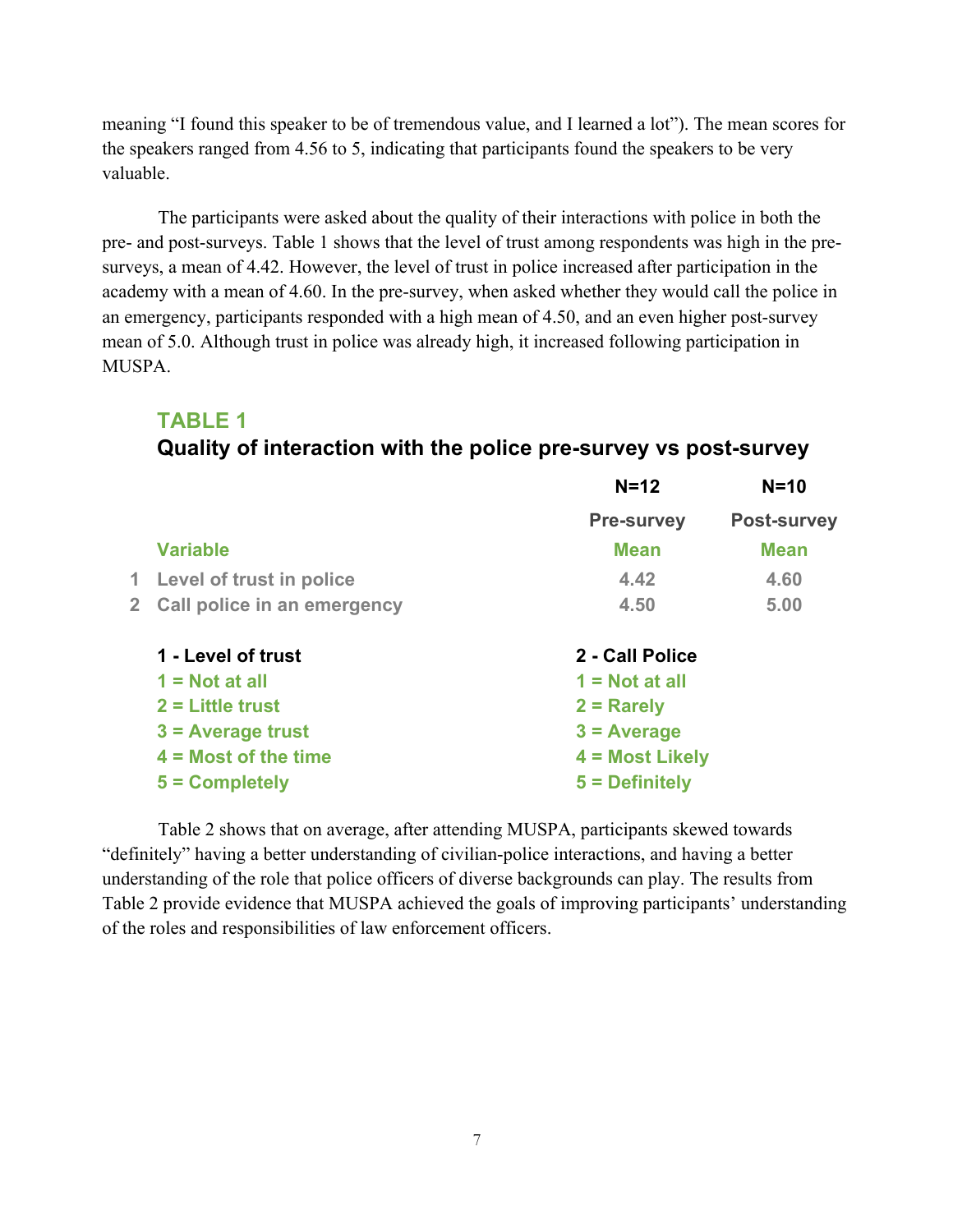meaning "I found this speaker to be of tremendous value, and I learned a lot"). The mean scores for the speakers ranged from 4.56 to 5, indicating that participants found the speakers to be very valuable.

The participants were asked about the quality of their interactions with police in both the pre- and post-surveys. Table 1 shows that the level of trust among respondents was high in the presurveys, a mean of 4.42. However, the level of trust in police increased after participation in the academy with a mean of 4.60. In the pre-survey, when asked whether they would call the police in an emergency, participants responded with a high mean of 4.50, and an even higher post-survey mean of 5.0. Although trust in police was already high, it increased following participation in MUSPA.

# **TABLE 1**

# **Quality of interaction with the police pre-survey vs post-survey**

|              |                             | $N=12$            | $N=10$             |
|--------------|-----------------------------|-------------------|--------------------|
|              |                             | <b>Pre-survey</b> | <b>Post-survey</b> |
|              | <b>Variable</b>             | <b>Mean</b>       | <b>Mean</b>        |
| 1.           | Level of trust in police    | 4.42              | 4.60               |
| $\mathbf{2}$ | Call police in an emergency | 4.50              | 5.00               |
|              | 1 - Level of trust          | 2 - Call Police   |                    |
|              | $1 = Not at all$            | $1 = Not at all$  |                    |
|              | $2 =$ Little trust          | $2 =$ Rarely      |                    |
|              | $3$ = Average trust         | $3 = Average$     |                    |
|              | $4 = Most of the time$      | 4 = Most Likely   |                    |
|              | $5 =$ Completely            | 5 = Definitely    |                    |
|              |                             |                   |                    |

Table 2 shows that on average, after attending MUSPA, participants skewed towards "definitely" having a better understanding of civilian-police interactions, and having a better understanding of the role that police officers of diverse backgrounds can play. The results from Table 2 provide evidence that MUSPA achieved the goals of improving participants' understanding of the roles and responsibilities of law enforcement officers.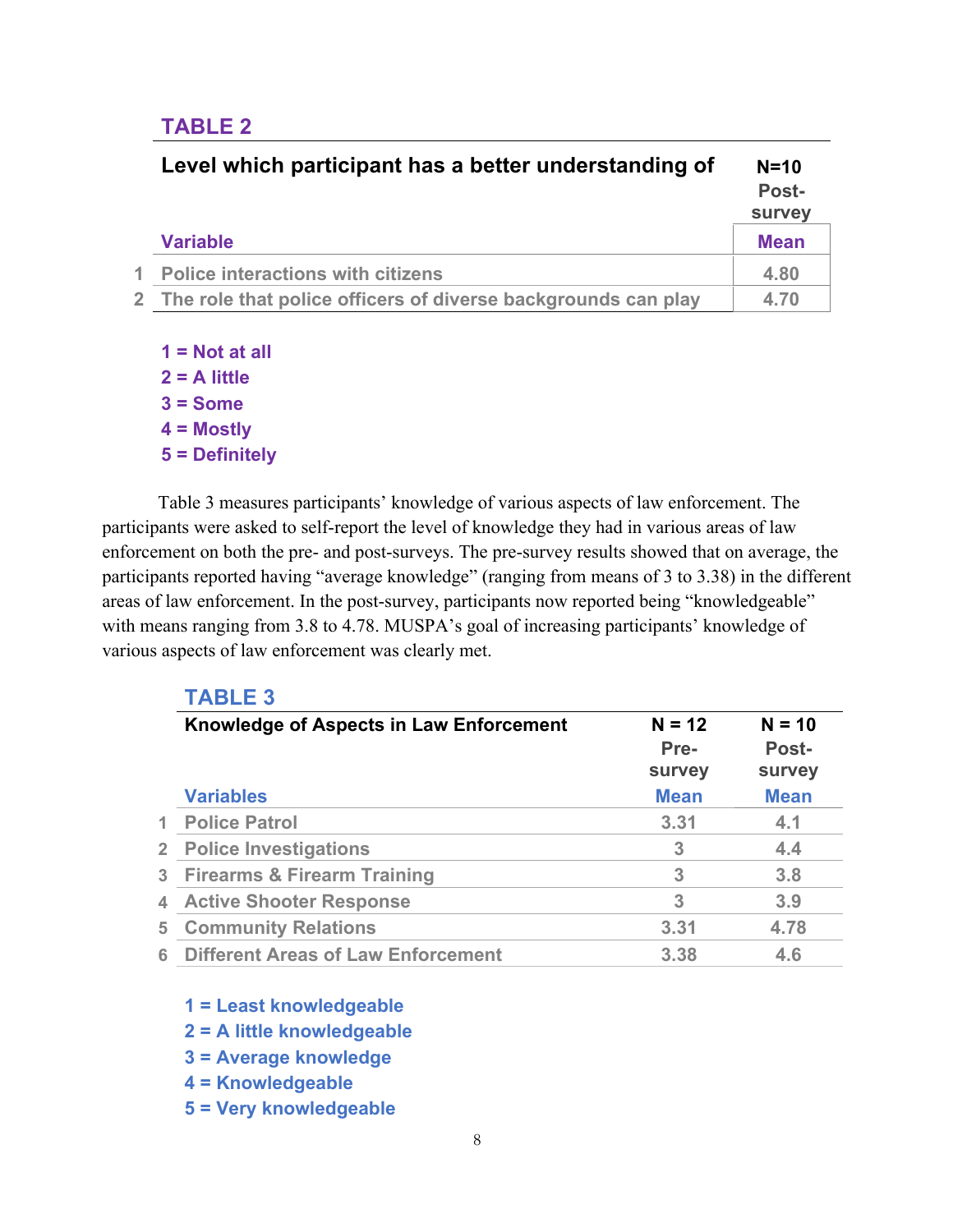# **TABLE 2**

| Level which participant has a better understanding of           | $N=10$<br>Post-<br>survey |
|-----------------------------------------------------------------|---------------------------|
| <b>Variable</b>                                                 | <b>Mean</b>               |
| 1 Police interactions with citizens                             | 4.80                      |
| 2 The role that police officers of diverse backgrounds can play | 4.70                      |

- **1 = Not at all 2 = A little 3 = Some 4 = Mostly**
- **5 = Definitely**

Table 3 measures participants' knowledge of various aspects of law enforcement. The participants were asked to self-report the level of knowledge they had in various areas of law enforcement on both the pre- and post-surveys. The pre-survey results showed that on average, the participants reported having "average knowledge" (ranging from means of 3 to 3.38) in the different areas of law enforcement. In the post-survey, participants now reported being "knowledgeable" with means ranging from 3.8 to 4.78. MUSPA's goal of increasing participants' knowledge of various aspects of law enforcement was clearly met.

|    | <b>TABLE 3</b>                            |                       |                               |
|----|-------------------------------------------|-----------------------|-------------------------------|
|    | Knowledge of Aspects in Law Enforcement   | $N = 12$              | $N = 10$                      |
|    |                                           | Pre-<br><b>survey</b> | <b>Post-</b><br><b>survey</b> |
|    | <b>Variables</b>                          | <b>Mean</b>           | <b>Mean</b>                   |
|    | <b>Police Patrol</b>                      | 3.31                  | 4.1                           |
|    | 2 Police Investigations                   | 3                     | 4.4                           |
|    | 3 Firearms & Firearm Training             | 3                     | 3.8                           |
| 4  | <b>Active Shooter Response</b>            | 3                     | 3.9                           |
| 5. | <b>Community Relations</b>                | 3.31                  | 4.78                          |
| հ  | <b>Different Areas of Law Enforcement</b> | 3.38                  | 4.6                           |
|    |                                           |                       |                               |

- **1 = Least knowledgeable**
- **2 = A little knowledgeable**
- **3 = Average knowledge**
- **4 = Knowledgeable**
- **5 = Very knowledgeable**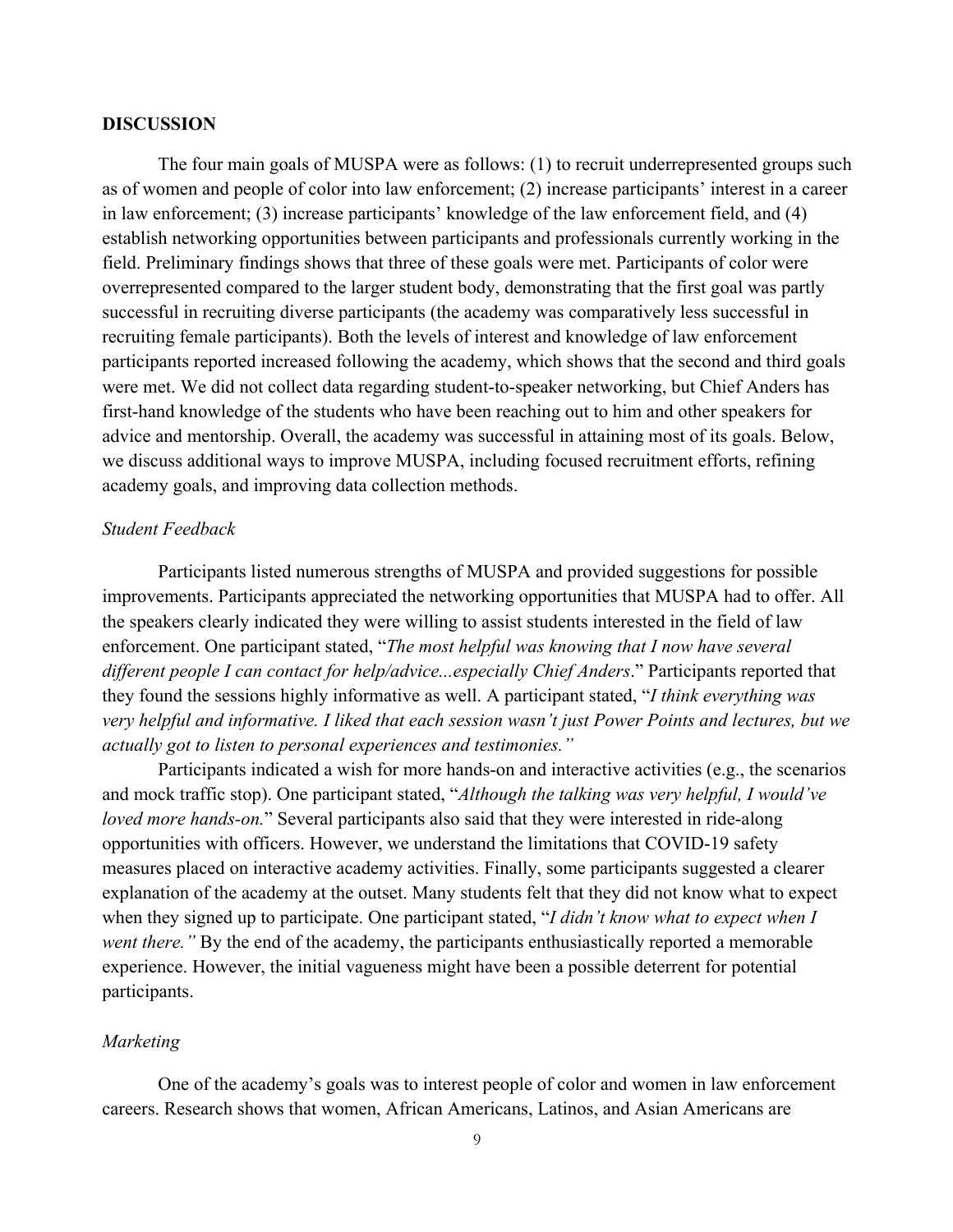#### **DISCUSSION**

The four main goals of MUSPA were as follows: (1) to recruit underrepresented groups such as of women and people of color into law enforcement; (2) increase participants' interest in a career in law enforcement; (3) increase participants' knowledge of the law enforcement field, and (4) establish networking opportunities between participants and professionals currently working in the field. Preliminary findings shows that three of these goals were met. Participants of color were overrepresented compared to the larger student body, demonstrating that the first goal was partly successful in recruiting diverse participants (the academy was comparatively less successful in recruiting female participants). Both the levels of interest and knowledge of law enforcement participants reported increased following the academy, which shows that the second and third goals were met. We did not collect data regarding student-to-speaker networking, but Chief Anders has first-hand knowledge of the students who have been reaching out to him and other speakers for advice and mentorship. Overall, the academy was successful in attaining most of its goals. Below, we discuss additional ways to improve MUSPA, including focused recruitment efforts, refining academy goals, and improving data collection methods.

#### *Student Feedback*

Participants listed numerous strengths of MUSPA and provided suggestions for possible improvements. Participants appreciated the networking opportunities that MUSPA had to offer. All the speakers clearly indicated they were willing to assist students interested in the field of law enforcement. One participant stated, "*The most helpful was knowing that I now have several different people I can contact for help/advice...especially Chief Anders*." Participants reported that they found the sessions highly informative as well. A participant stated, "*I think everything was very helpful and informative. I liked that each session wasn't just Power Points and lectures, but we actually got to listen to personal experiences and testimonies."* 

Participants indicated a wish for more hands-on and interactive activities (e.g., the scenarios and mock traffic stop). One participant stated, "*Although the talking was very helpful, I would've loved more hands-on.*" Several participants also said that they were interested in ride-along opportunities with officers. However, we understand the limitations that COVID-19 safety measures placed on interactive academy activities. Finally, some participants suggested a clearer explanation of the academy at the outset. Many students felt that they did not know what to expect when they signed up to participate. One participant stated, "*I didn't know what to expect when I went there."* By the end of the academy, the participants enthusiastically reported a memorable experience. However, the initial vagueness might have been a possible deterrent for potential participants.

#### *Marketing*

One of the academy's goals was to interest people of color and women in law enforcement careers. Research shows that women, African Americans, Latinos, and Asian Americans are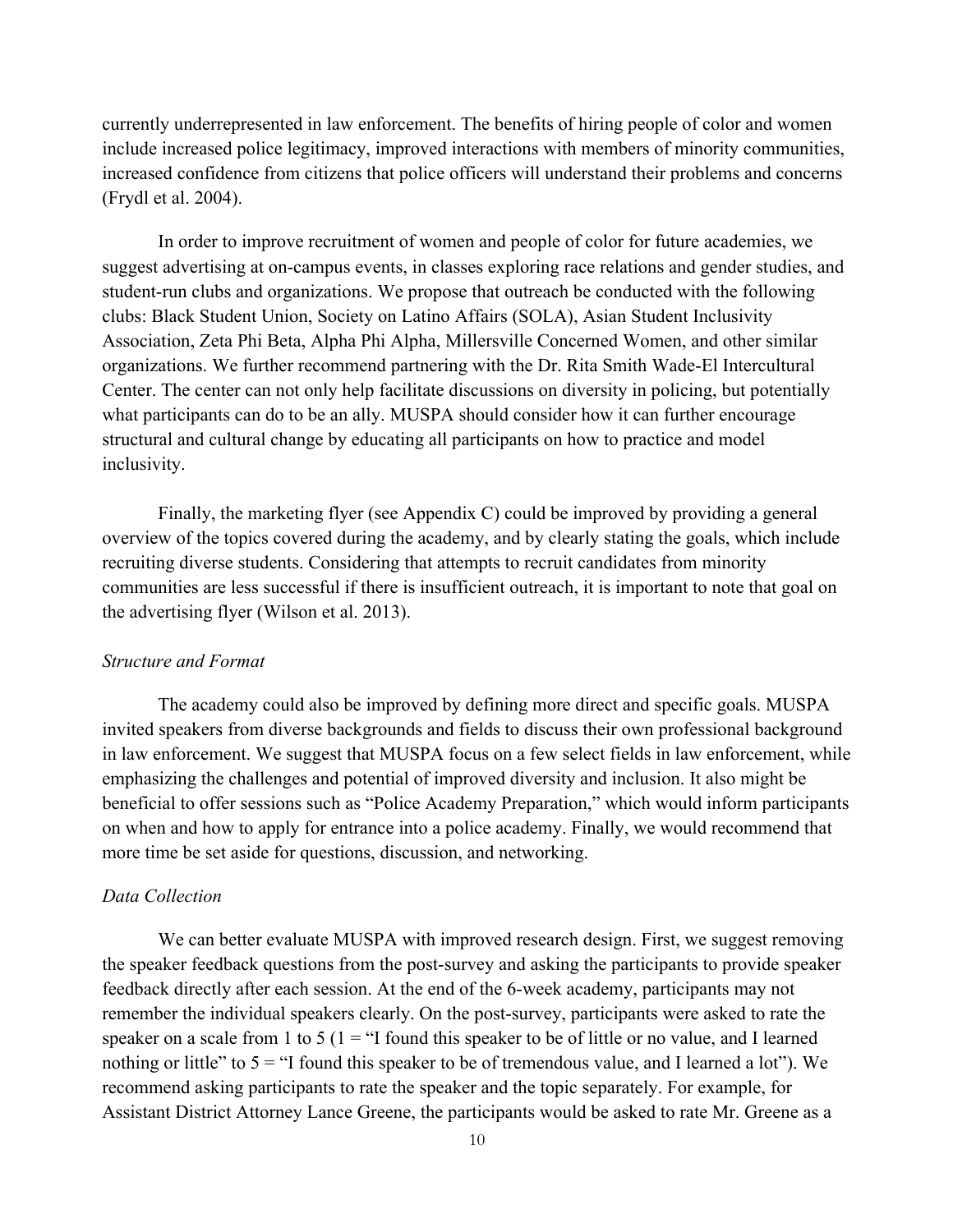currently underrepresented in law enforcement. The benefits of hiring people of color and women include increased police legitimacy, improved interactions with members of minority communities, increased confidence from citizens that police officers will understand their problems and concerns (Frydl et al. 2004).

In order to improve recruitment of women and people of color for future academies, we suggest advertising at on-campus events, in classes exploring race relations and gender studies, and student-run clubs and organizations. We propose that outreach be conducted with the following clubs: Black Student Union, Society on Latino Affairs (SOLA), Asian Student Inclusivity Association, Zeta Phi Beta, Alpha Phi Alpha, Millersville Concerned Women, and other similar organizations. We further recommend partnering with the Dr. Rita Smith Wade-El Intercultural Center. The center can not only help facilitate discussions on diversity in policing, but potentially what participants can do to be an ally. MUSPA should consider how it can further encourage structural and cultural change by educating all participants on how to practice and model inclusivity.

Finally, the marketing flyer (see Appendix C) could be improved by providing a general overview of the topics covered during the academy, and by clearly stating the goals, which include recruiting diverse students. Considering that attempts to recruit candidates from minority communities are less successful if there is insufficient outreach, it is important to note that goal on the advertising flyer (Wilson et al. 2013).

#### *Structure and Format*

The academy could also be improved by defining more direct and specific goals. MUSPA invited speakers from diverse backgrounds and fields to discuss their own professional background in law enforcement. We suggest that MUSPA focus on a few select fields in law enforcement, while emphasizing the challenges and potential of improved diversity and inclusion. It also might be beneficial to offer sessions such as "Police Academy Preparation," which would inform participants on when and how to apply for entrance into a police academy. Finally, we would recommend that more time be set aside for questions, discussion, and networking.

#### *Data Collection*

We can better evaluate MUSPA with improved research design. First, we suggest removing the speaker feedback questions from the post-survey and asking the participants to provide speaker feedback directly after each session. At the end of the 6-week academy, participants may not remember the individual speakers clearly. On the post-survey, participants were asked to rate the speaker on a scale from 1 to 5 ( $1 =$  "I found this speaker to be of little or no value, and I learned nothing or little" to  $5 =$  "I found this speaker to be of tremendous value, and I learned a lot"). We recommend asking participants to rate the speaker and the topic separately. For example, for Assistant District Attorney Lance Greene, the participants would be asked to rate Mr. Greene as a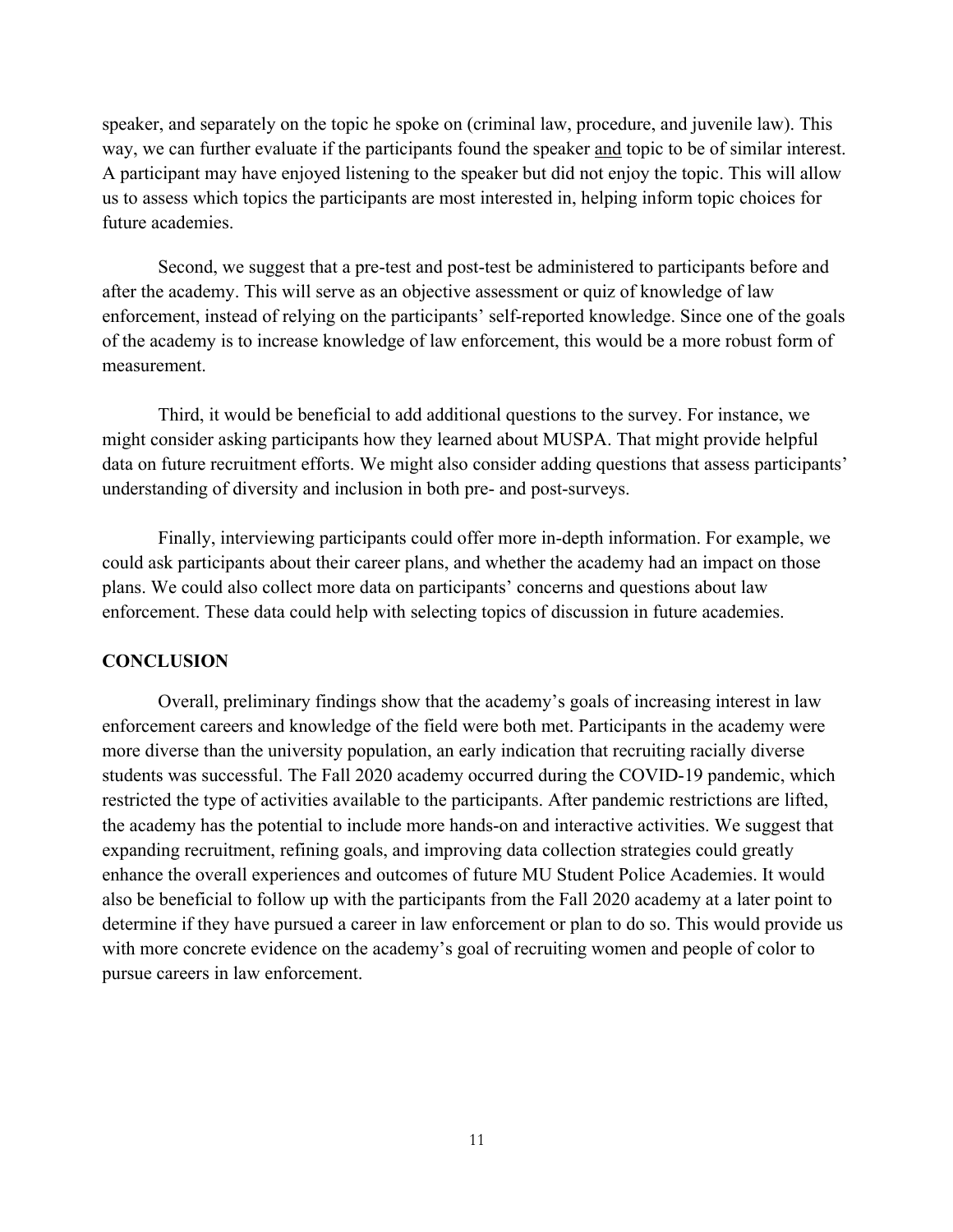speaker, and separately on the topic he spoke on (criminal law, procedure, and juvenile law). This way, we can further evaluate if the participants found the speaker and topic to be of similar interest. A participant may have enjoyed listening to the speaker but did not enjoy the topic. This will allow us to assess which topics the participants are most interested in, helping inform topic choices for future academies.

Second, we suggest that a pre-test and post-test be administered to participants before and after the academy. This will serve as an objective assessment or quiz of knowledge of law enforcement, instead of relying on the participants' self-reported knowledge. Since one of the goals of the academy is to increase knowledge of law enforcement, this would be a more robust form of measurement.

Third, it would be beneficial to add additional questions to the survey. For instance, we might consider asking participants how they learned about MUSPA. That might provide helpful data on future recruitment efforts. We might also consider adding questions that assess participants' understanding of diversity and inclusion in both pre- and post-surveys.

Finally, interviewing participants could offer more in-depth information. For example, we could ask participants about their career plans, and whether the academy had an impact on those plans. We could also collect more data on participants' concerns and questions about law enforcement. These data could help with selecting topics of discussion in future academies.

#### **CONCLUSION**

Overall, preliminary findings show that the academy's goals of increasing interest in law enforcement careers and knowledge of the field were both met. Participants in the academy were more diverse than the university population, an early indication that recruiting racially diverse students was successful. The Fall 2020 academy occurred during the COVID-19 pandemic, which restricted the type of activities available to the participants. After pandemic restrictions are lifted, the academy has the potential to include more hands-on and interactive activities. We suggest that expanding recruitment, refining goals, and improving data collection strategies could greatly enhance the overall experiences and outcomes of future MU Student Police Academies. It would also be beneficial to follow up with the participants from the Fall 2020 academy at a later point to determine if they have pursued a career in law enforcement or plan to do so. This would provide us with more concrete evidence on the academy's goal of recruiting women and people of color to pursue careers in law enforcement.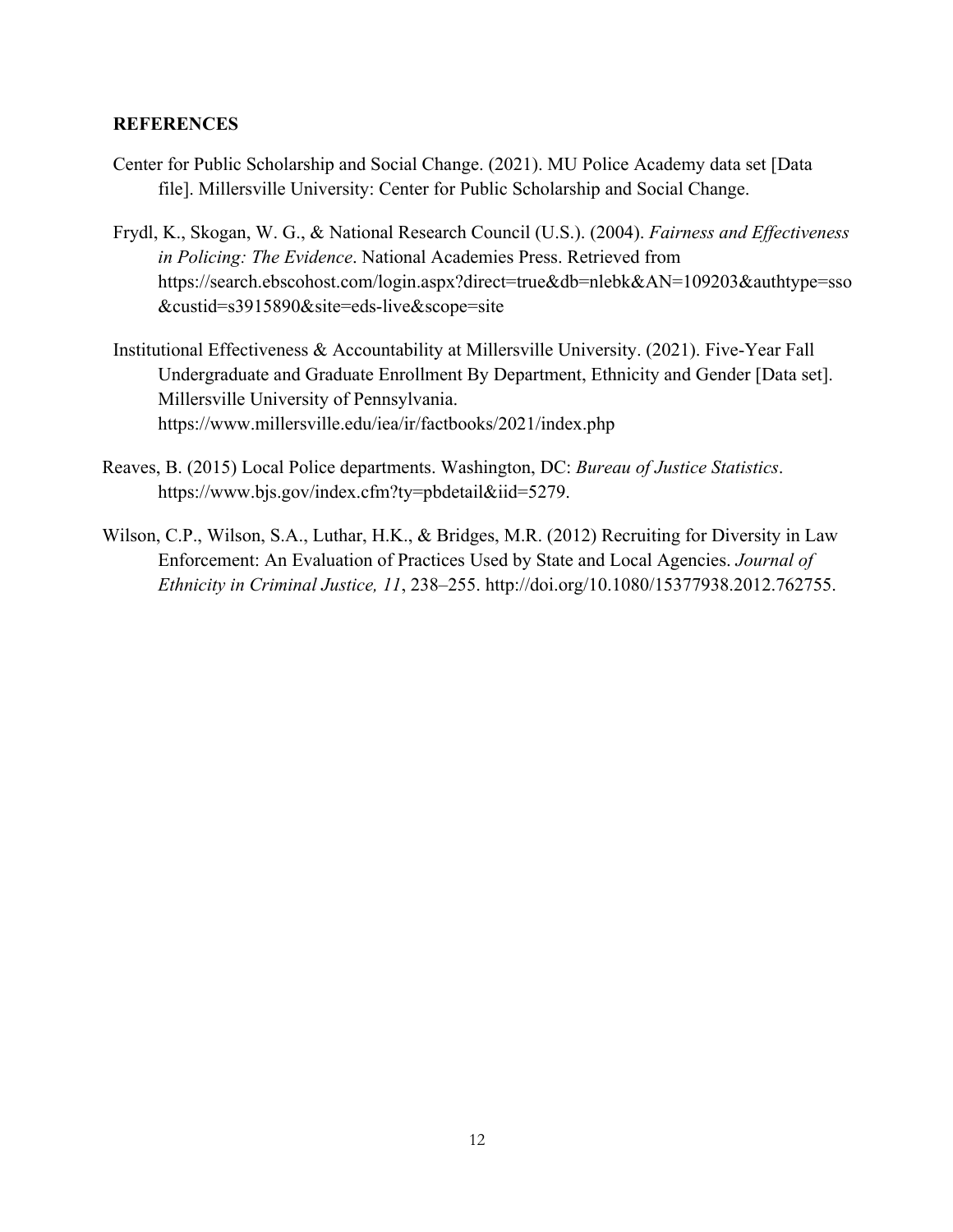## **REFERENCES**

- Center for Public Scholarship and Social Change. (2021). MU Police Academy data set [Data file]. Millersville University: Center for Public Scholarship and Social Change.
- Frydl, K., Skogan, W. G., & National Research Council (U.S.). (2004). *Fairness and Effectiveness in Policing: The Evidence*. National Academies Press. Retrieved from https://search.ebscohost.com/login.aspx?direct=true&db=nlebk&AN=109203&authtype=sso &custid=s3915890&site=eds-live&scope=site
- Institutional Effectiveness & Accountability at Millersville University. (2021). Five-Year Fall Undergraduate and Graduate Enrollment By Department, Ethnicity and Gender [Data set]. Millersville University of Pennsylvania. https://www.millersville.edu/iea/ir/factbooks/2021/index.php
- Reaves, B. (2015) Local Police departments. Washington, DC: *Bureau of Justice Statistics*. https://www.bjs.gov/index.cfm?ty=pbdetail&iid=5279.
- Wilson, C.P., Wilson, S.A., Luthar, H.K., & Bridges, M.R. (2012) Recruiting for Diversity in Law Enforcement: An Evaluation of Practices Used by State and Local Agencies. *Journal of Ethnicity in Criminal Justice, 11*, 238–255. http://doi.org/10.1080/15377938.2012.762755.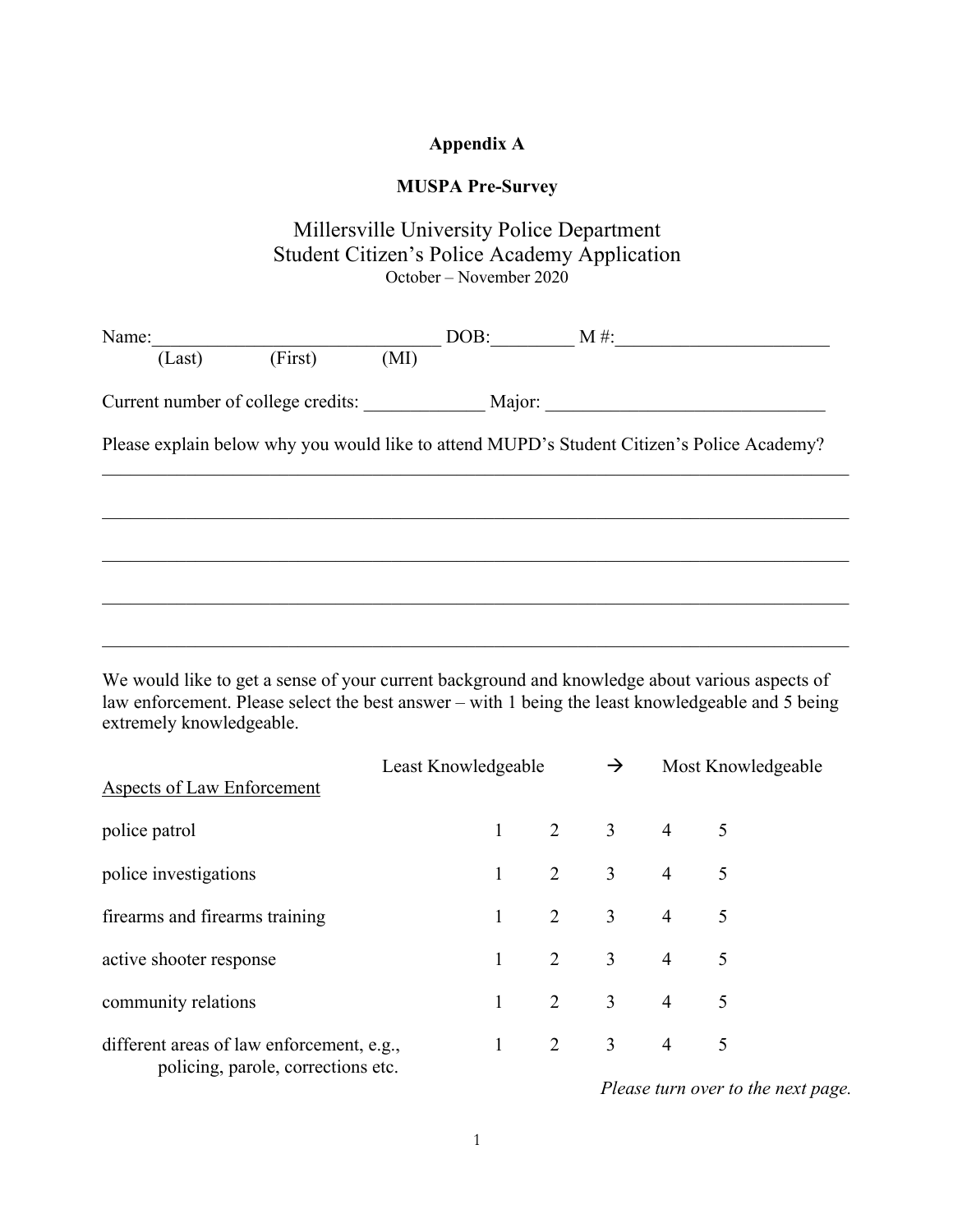# **Appendix A**

# **MUSPA Pre-Survey**

# Millersville University Police Department Student Citizen's Police Academy Application October – November 2020

| Name:                                     |         |      | $DOB:$ $M#$ : |                                                                                            |
|-------------------------------------------|---------|------|---------------|--------------------------------------------------------------------------------------------|
| (Last)                                    | (First) | (MI) |               |                                                                                            |
| Current number of college credits: Major: |         |      |               |                                                                                            |
|                                           |         |      |               | Please explain below why you would like to attend MUPD's Student Citizen's Police Academy? |
|                                           |         |      |               |                                                                                            |
|                                           |         |      |               |                                                                                            |
|                                           |         |      |               |                                                                                            |
|                                           |         |      |               |                                                                                            |

We would like to get a sense of your current background and knowledge about various aspects of law enforcement. Please select the best answer – with 1 being the least knowledgeable and 5 being extremely knowledgeable.

| <b>Aspects of Law Enforcement</b>                                               | Least Knowledgeable |  | $\rightarrow$ |                         | Most Knowledgeable |
|---------------------------------------------------------------------------------|---------------------|--|---------------|-------------------------|--------------------|
| police patrol                                                                   |                     |  |               | $1 \t 2 \t 3 \t 4 \t 5$ |                    |
|                                                                                 |                     |  |               | $1 \t 2 \t 3 \t 4 \t 5$ |                    |
| police investigations                                                           |                     |  |               |                         |                    |
| firearms and firearms training                                                  |                     |  |               | $1 \t 2 \t 3 \t 4$      | 5                  |
| active shooter response                                                         |                     |  |               | $1 \t 2 \t 3 \t 4 \t 5$ |                    |
| community relations                                                             |                     |  |               | $1 \t 2 \t 3 \t 4 \t 5$ |                    |
| different areas of law enforcement, e.g.,<br>policing, parole, corrections etc. |                     |  |               | $1 \t 2 \t 3 \t 4 \t 5$ |                    |

*Please turn over to the next page.*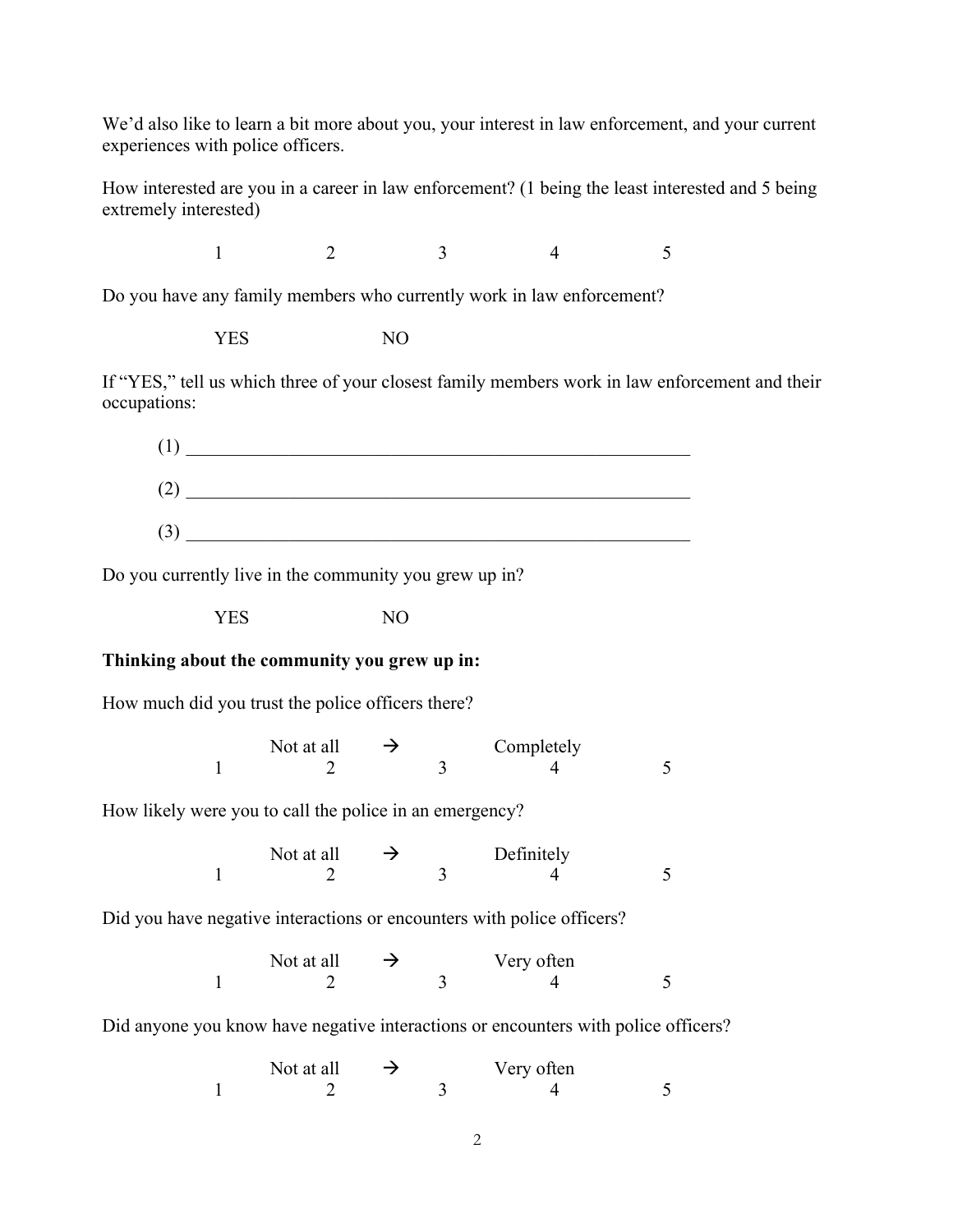We'd also like to learn a bit more about you, your interest in law enforcement, and your current experiences with police officers.

How interested are you in a career in law enforcement? (1 being the least interested and 5 being extremely interested)

 $1 \t 2 \t 3 \t 4 \t 5$ 

Do you have any family members who currently work in law enforcement?

YES NO

If "YES," tell us which three of your closest family members work in law enforcement and their occupations:



Do you currently live in the community you grew up in?

YES NO

# **Thinking about the community you grew up in:**

How much did you trust the police officers there?

Not at all  $\rightarrow$  Completely  $1 \t 2 \t 3 \t 4 \t 5$ 

How likely were you to call the police in an emergency?

| Not at all | $\rightarrow$ |  | Definitely |  |
|------------|---------------|--|------------|--|
|            |               |  |            |  |

Did you have negative interactions or encounters with police officers?

| Not at all<br>$\rightarrow$ |  | Very often |  |  |  |
|-----------------------------|--|------------|--|--|--|
|                             |  |            |  |  |  |

Did anyone you know have negative interactions or encounters with police officers?

| Not at all | $\rightarrow$ | Very often |  |
|------------|---------------|------------|--|
|            |               |            |  |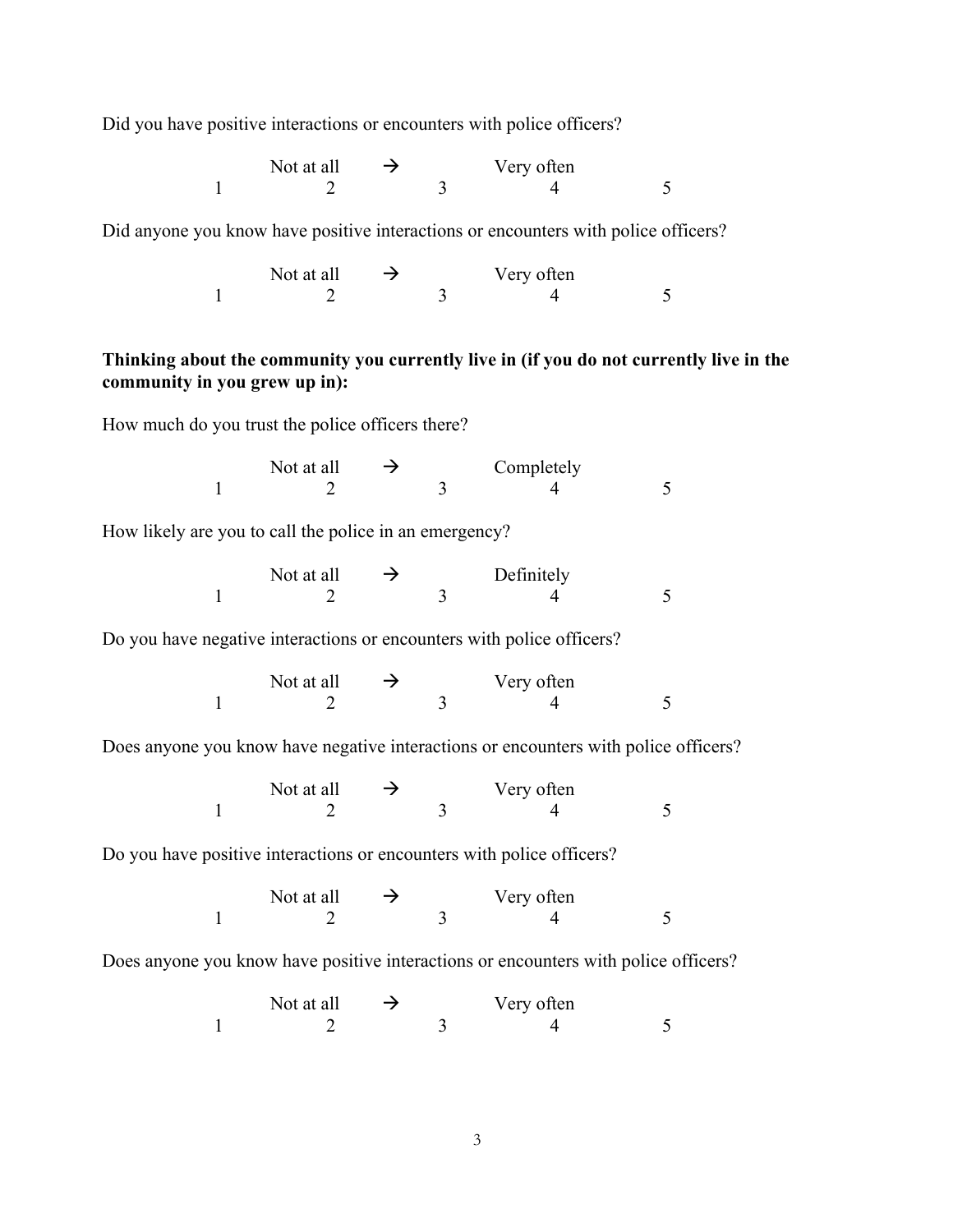Did you have positive interactions or encounters with police officers?

Not at all  $\rightarrow$  Very often  $1 2 3 4 5$ 

Did anyone you know have positive interactions or encounters with police officers?

Not at all  $\rightarrow$  Very often  $1 2 3 4 5$ 

# **Thinking about the community you currently live in (if you do not currently live in the community in you grew up in):**

How much do you trust the police officers there?

Not at all  $\rightarrow$  Completely<br>2 3 4  $1 2 3 4 5$ 

How likely are you to call the police in an emergency?

| Not at all | $\rightarrow$ | Definitely |  |  |
|------------|---------------|------------|--|--|
|            |               |            |  |  |

Do you have negative interactions or encounters with police officers?

Not at all  $\rightarrow$  Very often<br>
2 3 4  $1 2 3 4 5$ 

Does anyone you know have negative interactions or encounters with police officers?

Not at all  $\rightarrow$  Very often 1 2 3 4 5

Do you have positive interactions or encounters with police officers?

Not at all  $\rightarrow$  Very often<br>
2 3 4  $1 2 3 4 5$ 

Does anyone you know have positive interactions or encounters with police officers?

Not at all  $\rightarrow$  Very often 1 2 3 4 5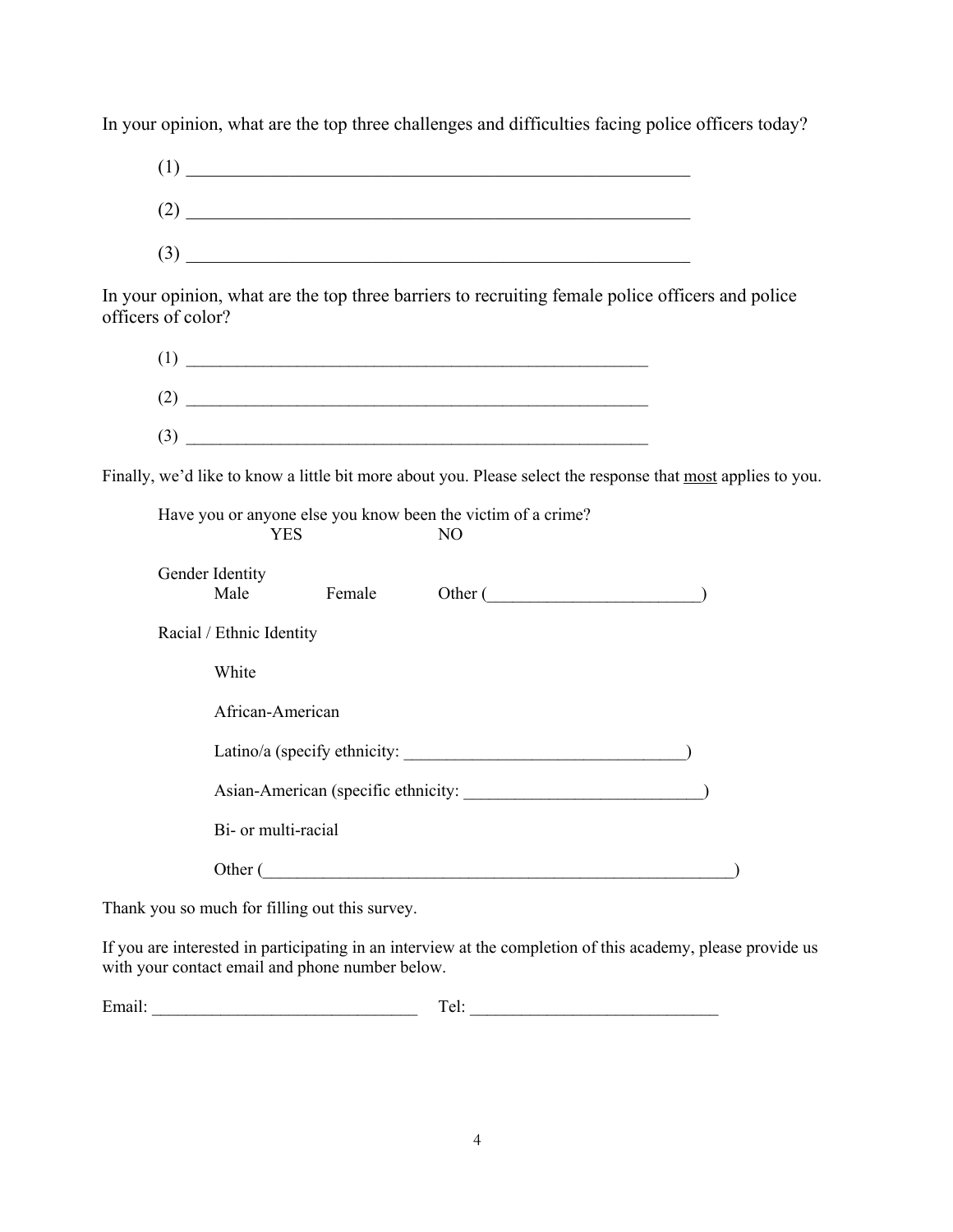In your opinion, what are the top three challenges and difficulties facing police officers today?



In your opinion, what are the top three barriers to recruiting female police officers and police officers of color?



Finally, we'd like to know a little bit more about you. Please select the response that most applies to you.

|                                     | YES                          |        | Have you or anyone else you know been the victim of a crime?<br>N <sub>O</sub> |  |  |  |  |
|-------------------------------------|------------------------------|--------|--------------------------------------------------------------------------------|--|--|--|--|
|                                     | Gender Identity<br>Male      | Female | Other (                                                                        |  |  |  |  |
|                                     | Racial / Ethnic Identity     |        |                                                                                |  |  |  |  |
|                                     | White                        |        |                                                                                |  |  |  |  |
|                                     | African-American             |        |                                                                                |  |  |  |  |
|                                     | Latino/a (specify ethnicity: |        |                                                                                |  |  |  |  |
| Asian-American (specific ethnicity: |                              |        |                                                                                |  |  |  |  |
|                                     | Bi- or multi-racial          |        |                                                                                |  |  |  |  |
| Other (                             |                              |        |                                                                                |  |  |  |  |

Thank you so much for filling out this survey.

If you are interested in participating in an interview at the completion of this academy, please provide us with your contact email and phone number below.

| $\overline{\phantom{a}}$<br>. . | . |
|---------------------------------|---|
|                                 |   |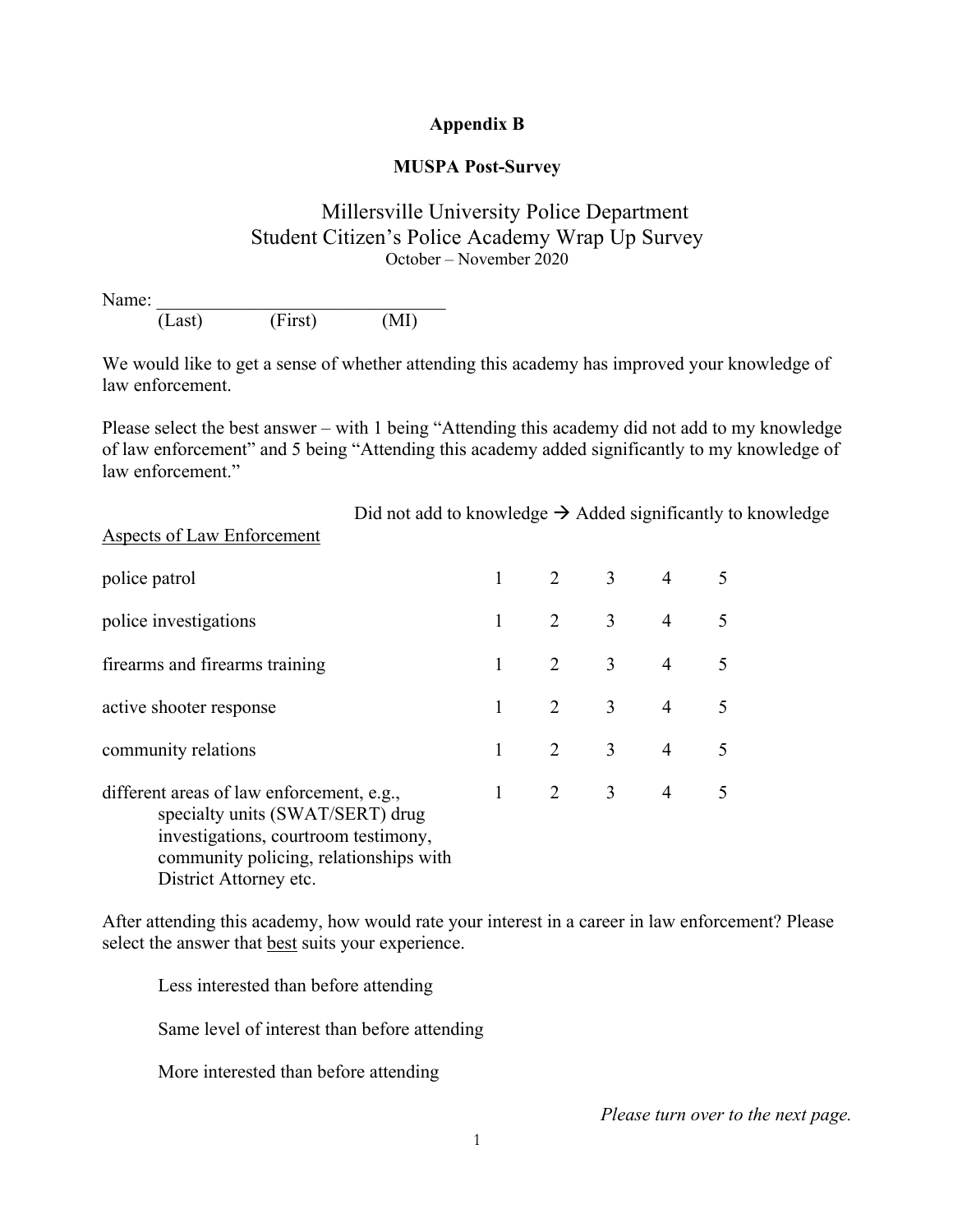# **Appendix B**

# **MUSPA Post-Survey**

# Millersville University Police Department Student Citizen's Police Academy Wrap Up Survey October – November 2020

Name: (Last) (First) (MI)

We would like to get a sense of whether attending this academy has improved your knowledge of law enforcement.

Please select the best answer – with 1 being "Attending this academy did not add to my knowledge of law enforcement" and 5 being "Attending this academy added significantly to my knowledge of law enforcement."

|                                                                                                                                                                                           | Did not add to knowledge $\rightarrow$ Added significantly to knowledge |       |                             |                       |                |   |  |
|-------------------------------------------------------------------------------------------------------------------------------------------------------------------------------------------|-------------------------------------------------------------------------|-------|-----------------------------|-----------------------|----------------|---|--|
| <b>Aspects of Law Enforcement</b>                                                                                                                                                         |                                                                         |       |                             |                       |                |   |  |
| police patrol                                                                                                                                                                             |                                                                         |       | $1 \quad 2 \quad 3 \quad 4$ |                       |                | 5 |  |
| police investigations                                                                                                                                                                     |                                                                         |       |                             | $2 \qquad 3 \qquad 4$ |                | 5 |  |
| firearms and firearms training                                                                                                                                                            |                                                                         |       |                             | $2 \qquad 3 \qquad 4$ |                | 5 |  |
| active shooter response                                                                                                                                                                   |                                                                         |       |                             | $2 \qquad 3 \qquad 4$ |                | 5 |  |
| community relations                                                                                                                                                                       |                                                                         |       |                             | $2 \qquad 3 \qquad 4$ |                | 5 |  |
| different areas of law enforcement, e.g.,<br>specialty units (SWAT/SERT) drug<br>investigations, courtroom testimony,<br>community policing, relationships with<br>District Attorney etc. |                                                                         | $1 -$ | $2 \qquad \qquad 3$         |                       | $\overline{4}$ | 5 |  |

After attending this academy, how would rate your interest in a career in law enforcement? Please select the answer that best suits your experience.

Less interested than before attending Same level of interest than before attending

More interested than before attending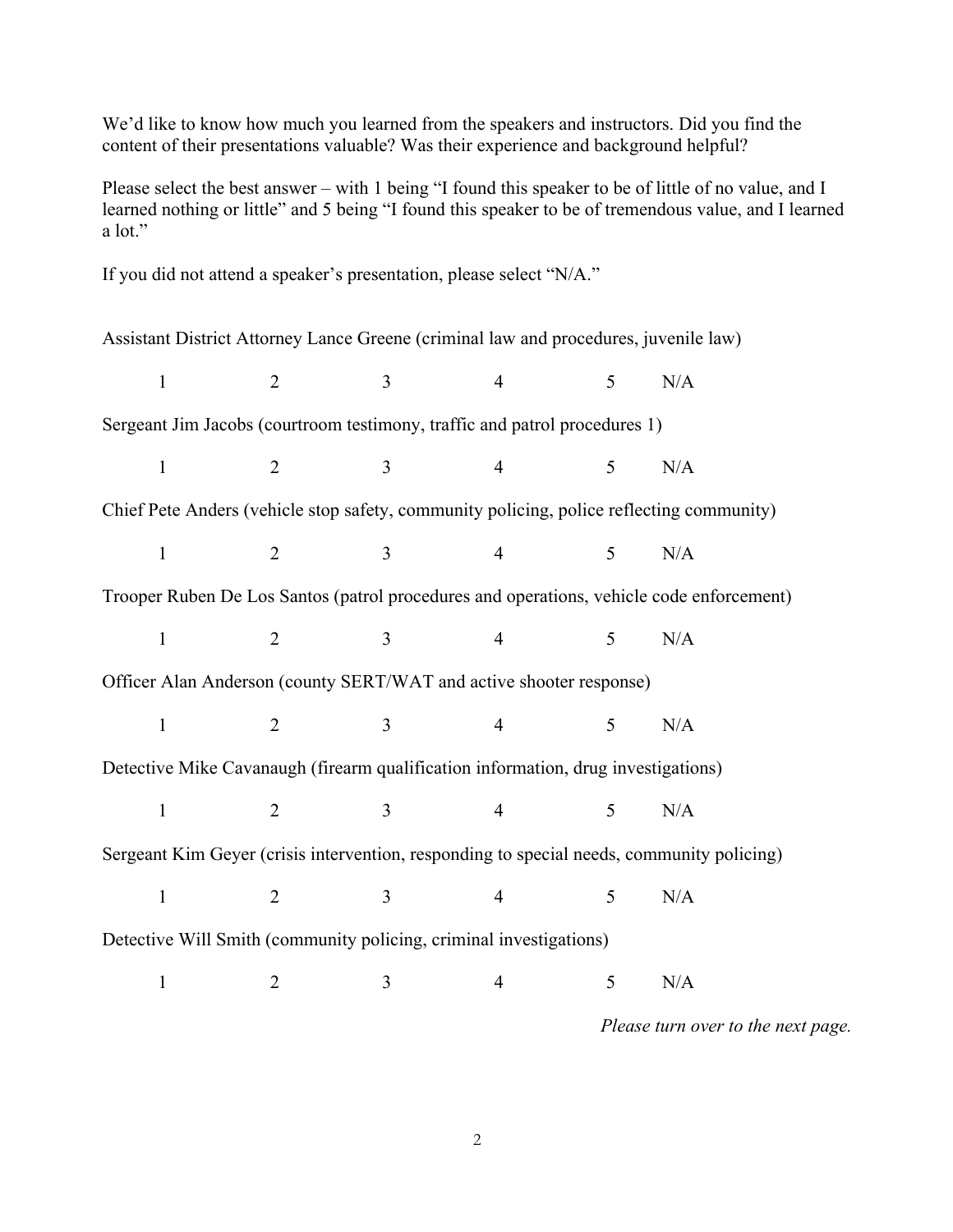We'd like to know how much you learned from the speakers and instructors. Did you find the content of their presentations valuable? Was their experience and background helpful?

Please select the best answer – with 1 being "I found this speaker to be of little of no value, and I learned nothing or little" and 5 being "I found this speaker to be of tremendous value, and I learned a lot."

If you did not attend a speaker's presentation, please select "N/A." Assistant District Attorney Lance Greene (criminal law and procedures, juvenile law) 1 2 3 4 5 N/A Sergeant Jim Jacobs (courtroom testimony, traffic and patrol procedures 1) 1 2 3 4 5 N/A Chief Pete Anders (vehicle stop safety, community policing, police reflecting community) 1 2 3 4 5 N/A Trooper Ruben De Los Santos (patrol procedures and operations, vehicle code enforcement) 1 2 3 4 5 N/A Officer Alan Anderson (county SERT/WAT and active shooter response) 1 2 3 4 5 N/A Detective Mike Cavanaugh (firearm qualification information, drug investigations) 1 2 3 4 5 N/A Sergeant Kim Geyer (crisis intervention, responding to special needs, community policing) 1 2 3 4 5 N/A Detective Will Smith (community policing, criminal investigations) 1 2 3 4 5 N/A

*Please turn over to the next page.*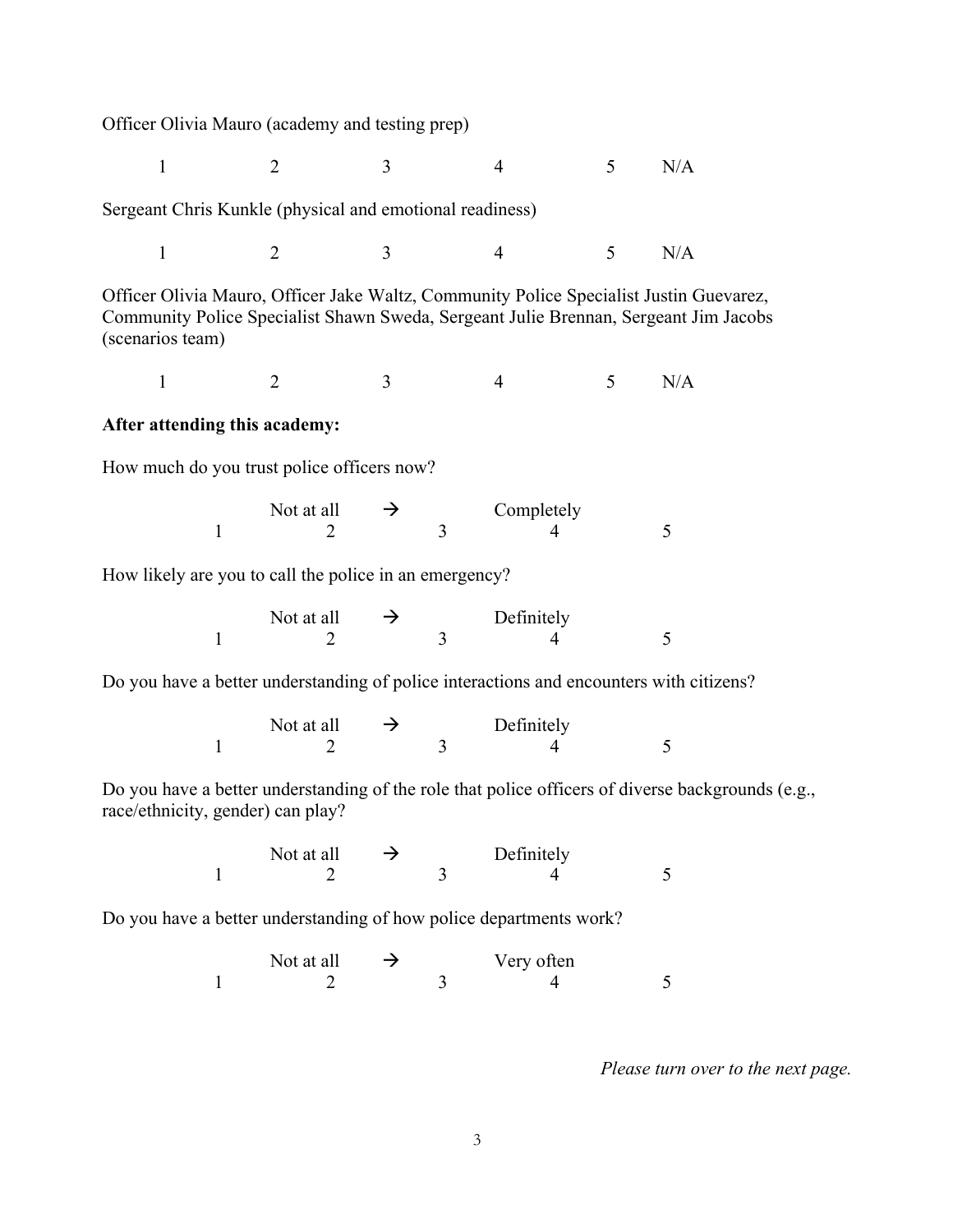Officer Olivia Mauro (academy and testing prep)

1 2 3 4 5 N/A

Sergeant Chris Kunkle (physical and emotional readiness)

1 2 3 4 5 N/A

Officer Olivia Mauro, Officer Jake Waltz, Community Police Specialist Justin Guevarez, Community Police Specialist Shawn Sweda, Sergeant Julie Brennan, Sergeant Jim Jacobs (scenarios team)

1 2 3 4 5 N/A

#### **After attending this academy:**

How much do you trust police officers now?

| Not at all | $\rightarrow$ | Completely |  |  |
|------------|---------------|------------|--|--|
|            |               |            |  |  |

How likely are you to call the police in an emergency?

| Not at all | $\rightarrow$ | Definitely |  |
|------------|---------------|------------|--|
|            |               |            |  |

Do you have a better understanding of police interactions and encounters with citizens?

| Not at all | $\rightarrow$ | Definitely |  |  |
|------------|---------------|------------|--|--|
|            |               |            |  |  |

Do you have a better understanding of the role that police officers of diverse backgrounds (e.g., race/ethnicity, gender) can play?

> Not at all  $\rightarrow$  Definitely 1 2 3 4 5

Do you have a better understanding of how police departments work?

Not at all  $\rightarrow$  Very often<br>
2 3 4  $1 2 3 4 5$ 

*Please turn over to the next page.*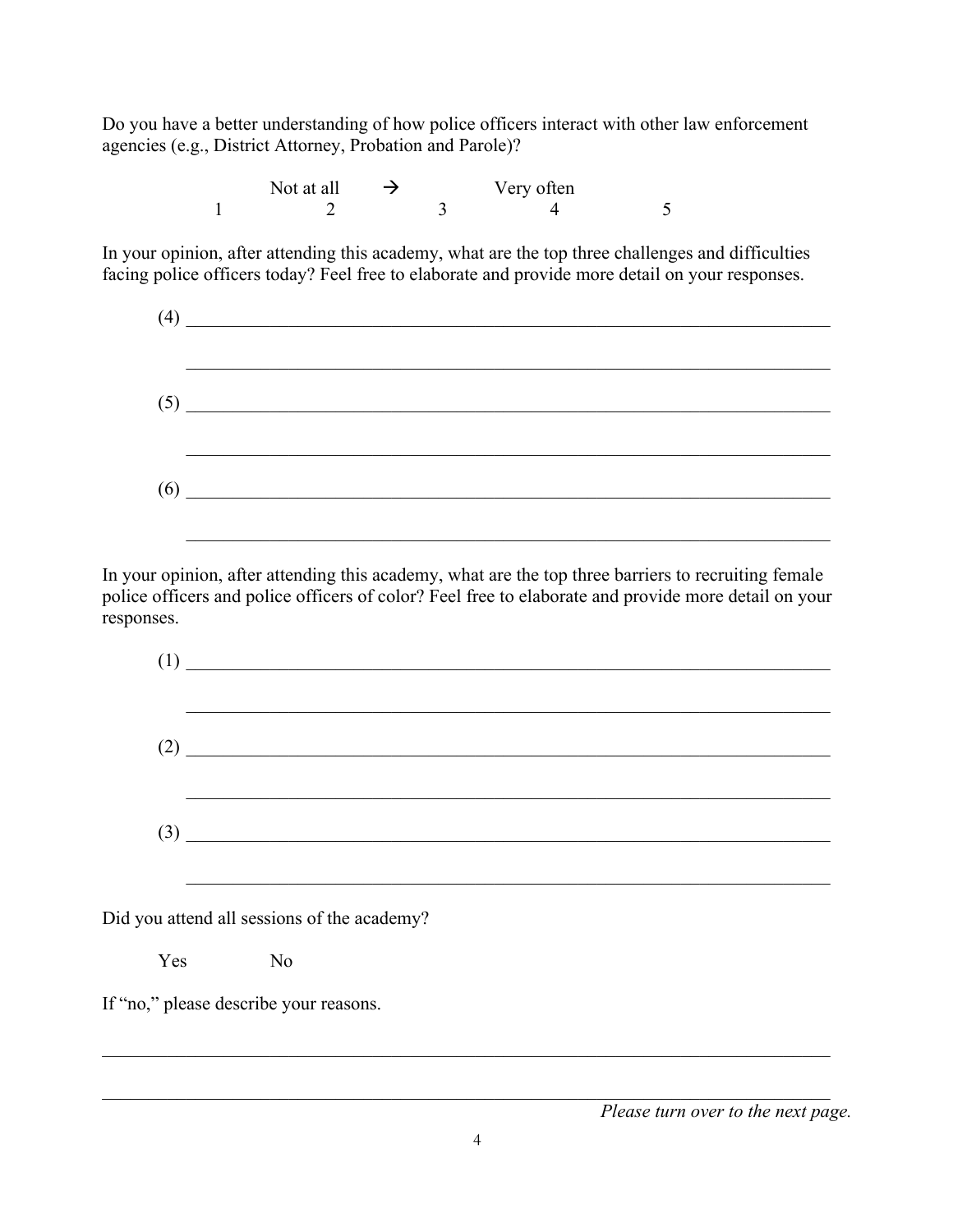Do you have a better understanding of how police officers interact with other law enforcement agencies (e.g., District Attorney, Probation and Parole)?

| Not at all | $\rightarrow$ | Very often |  |
|------------|---------------|------------|--|
|            |               |            |  |

In your opinion, after attending this academy, what are the top three challenges and difficulties facing police officers today? Feel free to elaborate and provide more detail on your responses.

In your opinion, after attending this academy, what are the top three barriers to recruiting female police officers and police officers of color? Feel free to elaborate and provide more detail on your responses.

| (1) | <u> 1989 - John Stein, mars and de Britain and de Britain and de Britain and de Britain and de Britain and de Br</u> |  |  |  |
|-----|----------------------------------------------------------------------------------------------------------------------|--|--|--|
|     |                                                                                                                      |  |  |  |
|     |                                                                                                                      |  |  |  |
|     | Did you attend all sessions of the academy?                                                                          |  |  |  |
|     | Yes No                                                                                                               |  |  |  |

If "no," please describe your reasons.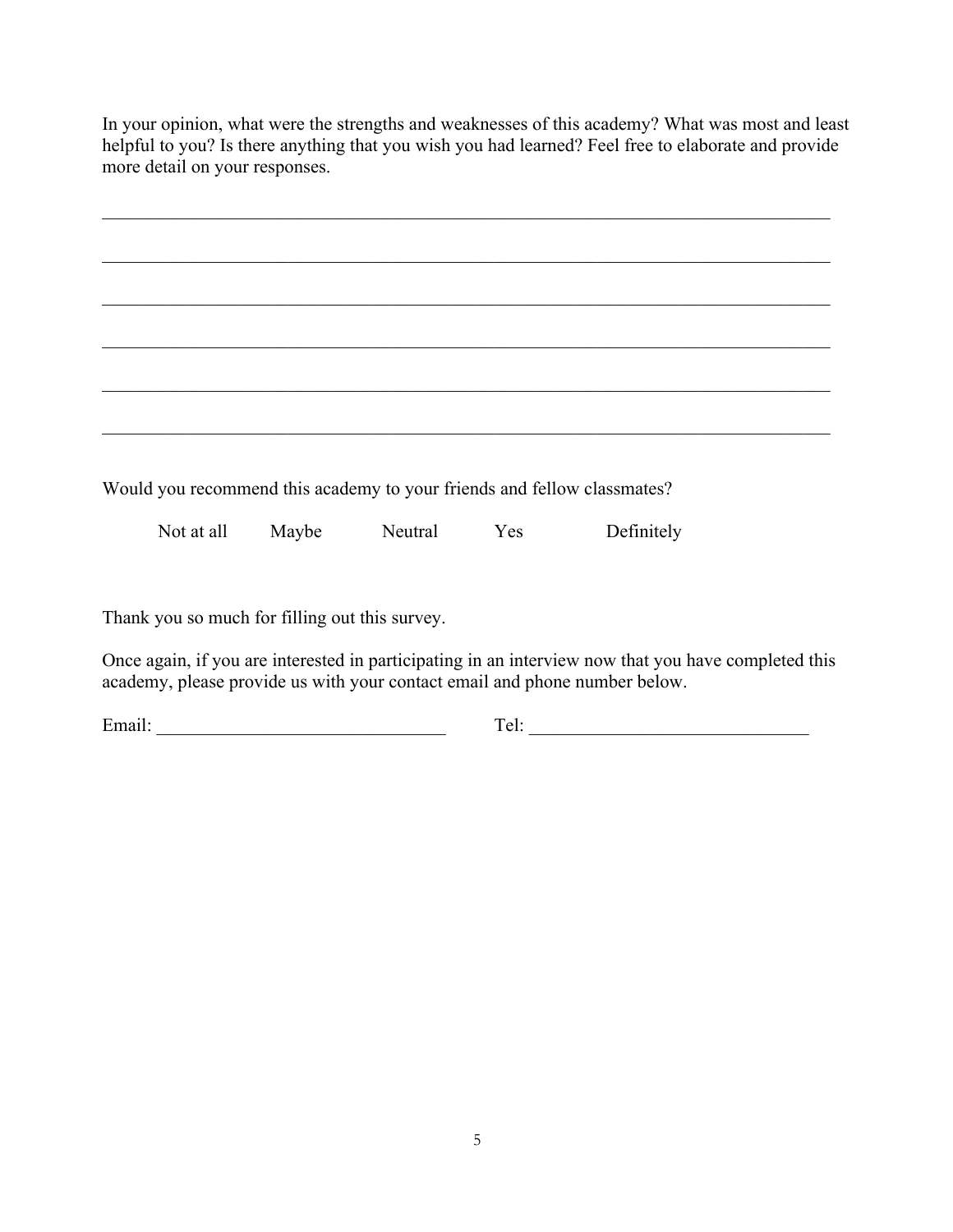In your opinion, what were the strengths and weaknesses of this academy? What was most and least helpful to you? Is there anything that you wish you had learned? Feel free to elaborate and provide more detail on your responses.

Would you recommend this academy to your friends and fellow classmates?

Not at all Maybe Neutral Yes Definitely

Thank you so much for filling out this survey.

Once again, if you are interested in participating in an interview now that you have completed this academy, please provide us with your contact email and phone number below.

Email: \_\_\_\_\_\_\_\_\_\_\_\_\_\_\_\_\_\_\_\_\_\_\_\_\_\_\_\_\_\_\_ Tel: \_\_\_\_\_\_\_\_\_\_\_\_\_\_\_\_\_\_\_\_\_\_\_\_\_\_\_\_\_\_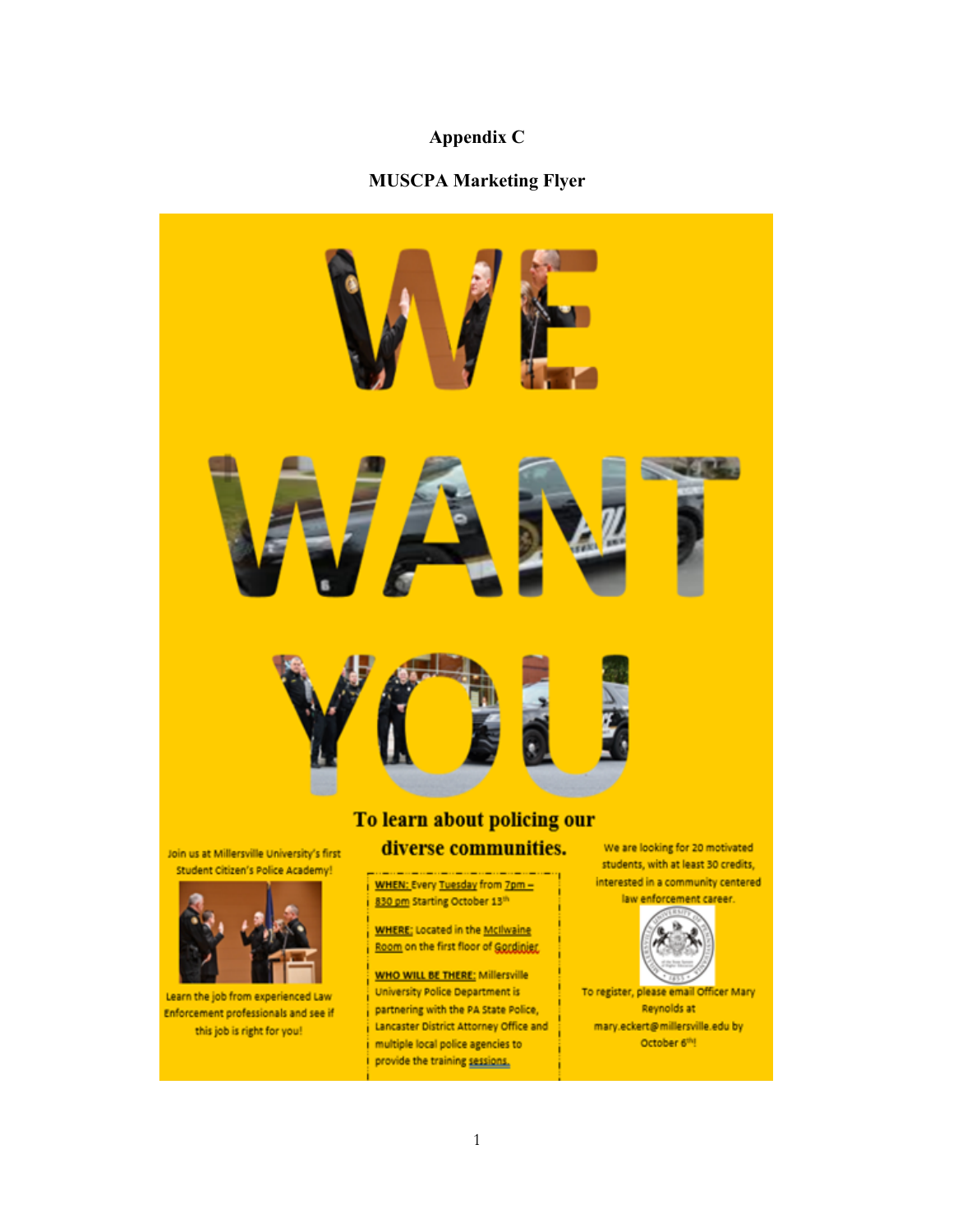# **Appendix C**

# **MUSCPA Marketing Flyer**



Join us at Millersville University's first Student Citizen's Police Academy!



Learn the job from experienced Law Enforcement professionals and see if this job is right for you!

# WHEN: Every Tuesday from 7pm -830 pm Starting October 13th

**WHERE:** Located in the McIlwaine Room on the first floor of Gordinier.

**WHO WILL BE THERE:** Millersville University Police Department is partnering with the PA State Police, Lancaster District Attorney Office and multiple local police agencies to provide the training sessions.

We are looking for 20 motivated students, with at least 30 credits, interested in a community centered





To register, please email Officer Mary Reynolds at mary.eckert@millersville.edu by October 6th!